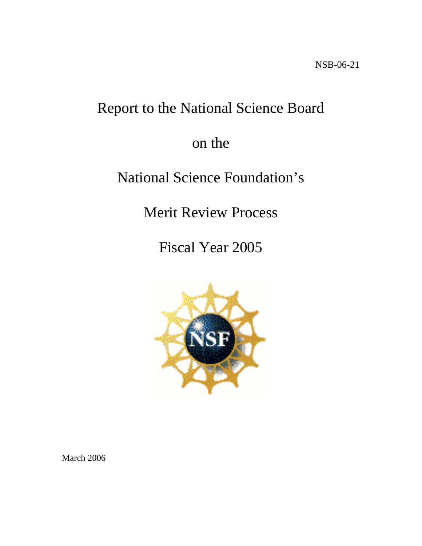# Report to the National Science Board

# on the

# National Science Foundation's

Merit Review Process

Fiscal Year 2005



March 2006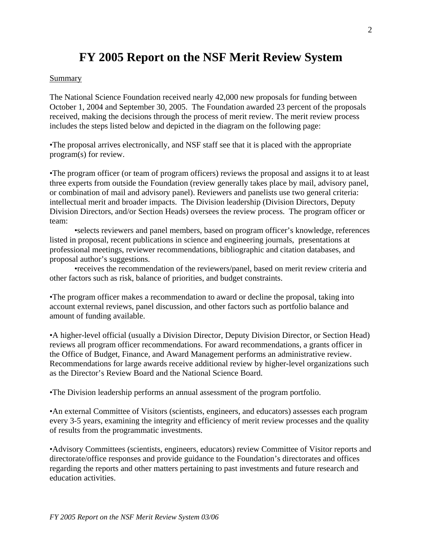# **FY 2005 Report on the NSF Merit Review System**

#### **Summary**

The National Science Foundation received nearly 42,000 new proposals for funding between October 1, 2004 and September 30, 2005. The Foundation awarded 23 percent of the proposals received, making the decisions through the process of merit review. The merit review process includes the steps listed below and depicted in the diagram on the following page:

•The proposal arrives electronically, and NSF staff see that it is placed with the appropriate program(s) for review.

•The program officer (or team of program officers) reviews the proposal and assigns it to at least three experts from outside the Foundation (review generally takes place by mail, advisory panel, or combination of mail and advisory panel). Reviewers and panelists use two general criteria: intellectual merit and broader impacts. The Division leadership (Division Directors, Deputy Division Directors, and/or Section Heads) oversees the review process. The program officer or team:

•selects reviewers and panel members, based on program officer's knowledge, references listed in proposal, recent publications in science and engineering journals, presentations at professional meetings, reviewer recommendations, bibliographic and citation databases, and proposal author's suggestions.

•receives the recommendation of the reviewers/panel, based on merit review criteria and other factors such as risk, balance of priorities, and budget constraints.

•The program officer makes a recommendation to award or decline the proposal, taking into account external reviews, panel discussion, and other factors such as portfolio balance and amount of funding available.

•A higher-level official (usually a Division Director, Deputy Division Director, or Section Head) reviews all program officer recommendations. For award recommendations, a grants officer in the Office of Budget, Finance, and Award Management performs an administrative review. Recommendations for large awards receive additional review by higher-level organizations such as the Director's Review Board and the National Science Board.

•The Division leadership performs an annual assessment of the program portfolio.

•An external Committee of Visitors (scientists, engineers, and educators) assesses each program every 3-5 years, examining the integrity and efficiency of merit review processes and the quality of results from the programmatic investments.

•Advisory Committees (scientists, engineers, educators) review Committee of Visitor reports and directorate/office responses and provide guidance to the Foundation's directorates and offices regarding the reports and other matters pertaining to past investments and future research and education activities.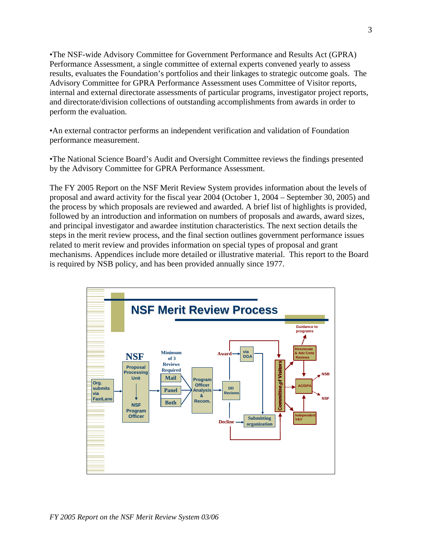•The NSF-wide Advisory Committee for Government Performance and Results Act (GPRA) Performance Assessment, a single committee of external experts convened yearly to assess results, evaluates the Foundation's portfolios and their linkages to strategic outcome goals. The Advisory Committee for GPRA Performance Assessment uses Committee of Visitor reports, internal and external directorate assessments of particular programs, investigator project reports, and directorate/division collections of outstanding accomplishments from awards in order to perform the evaluation.

•An external contractor performs an independent verification and validation of Foundation performance measurement.

•The National Science Board's Audit and Oversight Committee reviews the findings presented by the Advisory Committee for GPRA Performance Assessment.

The FY 2005 Report on the NSF Merit Review System provides information about the levels of proposal and award activity for the fiscal year 2004 (October 1, 2004 – September 30, 2005) and the process by which proposals are reviewed and awarded. A brief list of highlights is provided, followed by an introduction and information on numbers of proposals and awards, award sizes, and principal investigator and awardee institution characteristics. The next section details the steps in the merit review process, and the final section outlines government performance issues related to merit review and provides information on special types of proposal and grant mechanisms. Appendices include more detailed or illustrative material. This report to the Board is required by NSB policy, and has been provided annually since 1977.

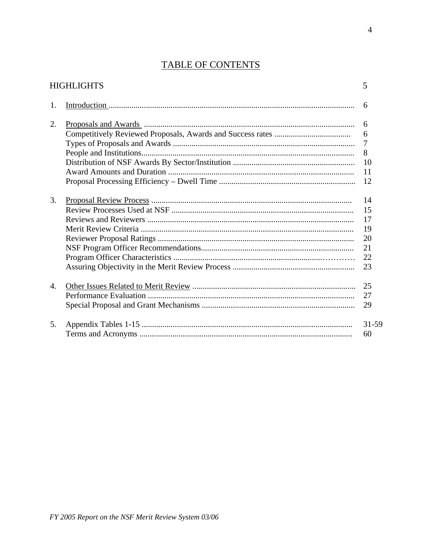## TABLE OF CONTENTS

|                       | <b>HIGHLIGHTS</b> | 5              |
|-----------------------|-------------------|----------------|
| 1.                    |                   | 6              |
| 2.                    |                   | 6              |
|                       |                   | 6              |
|                       |                   | $\overline{7}$ |
|                       |                   | 8              |
|                       |                   | 10             |
|                       |                   | 11             |
|                       |                   | 12             |
| 3.                    |                   | 14             |
|                       |                   | 15             |
|                       |                   | 17             |
|                       |                   | 19             |
|                       |                   | 20             |
|                       |                   | 21             |
|                       |                   | 22             |
|                       |                   | 23             |
| $\mathcal{A}_{\cdot}$ |                   | 25             |
|                       |                   | 27             |
|                       |                   | 29             |
| 5.                    |                   | $31 - 59$      |
|                       |                   | 60             |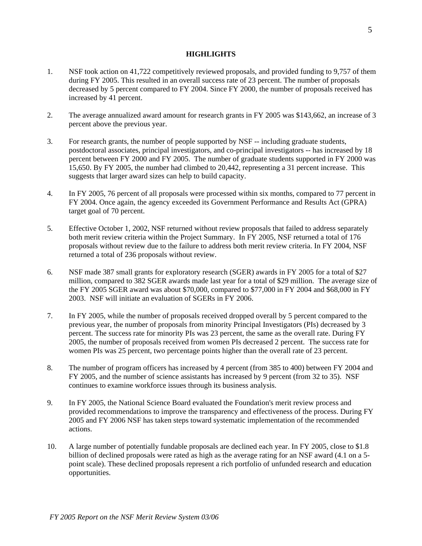#### **HIGHLIGHTS**

- 1. NSF took action on 41,722 competitively reviewed proposals, and provided funding to 9,757 of them during FY 2005. This resulted in an overall success rate of 23 percent. The number of proposals decreased by 5 percent compared to FY 2004. Since FY 2000, the number of proposals received has increased by 41 percent.
- 2. The average annualized award amount for research grants in FY 2005 was \$143,662, an increase of 3 percent above the previous year.
- 3. For research grants, the number of people supported by NSF -- including graduate students, postdoctoral associates, principal investigators, and co-principal investigators -- has increased by 18 percent between FY 2000 and FY 2005. The number of graduate students supported in FY 2000 was 15,650. By FY 2005, the number had climbed to 20,442, representing a 31 percent increase. This suggests that larger award sizes can help to build capacity.
- 4. In FY 2005, 76 percent of all proposals were processed within six months, compared to 77 percent in FY 2004. Once again, the agency exceeded its Government Performance and Results Act (GPRA) target goal of 70 percent.
- 5. Effective October 1, 2002, NSF returned without review proposals that failed to address separately both merit review criteria within the Project Summary. In FY 2005, NSF returned a total of 176 proposals without review due to the failure to address both merit review criteria. In FY 2004, NSF returned a total of 236 proposals without review.
- 6. NSF made 387 small grants for exploratory research (SGER) awards in FY 2005 for a total of \$27 million, compared to 382 SGER awards made last year for a total of \$29 million. The average size of the FY 2005 SGER award was about \$70,000, compared to \$77,000 in FY 2004 and \$68,000 in FY 2003. NSF will initiate an evaluation of SGERs in FY 2006.
- 7. In FY 2005, while the number of proposals received dropped overall by 5 percent compared to the previous year, the number of proposals from minority Principal Investigators (PIs) decreased by 3 percent. The success rate for minority PIs was 23 percent, the same as the overall rate. During FY 2005, the number of proposals received from women PIs decreased 2 percent. The success rate for women PIs was 25 percent, two percentage points higher than the overall rate of 23 percent.
- 8. The number of program officers has increased by 4 percent (from 385 to 400) between FY 2004 and FY 2005, and the number of science assistants has increased by 9 percent (from 32 to 35). NSF continues to examine workforce issues through its business analysis.
- 9. In FY 2005, the National Science Board evaluated the Foundation's merit review process and provided recommendations to improve the transparency and effectiveness of the process. During FY 2005 and FY 2006 NSF has taken steps toward systematic implementation of the recommended actions.
- 10. A large number of potentially fundable proposals are declined each year. In FY 2005, close to \$1.8 billion of declined proposals were rated as high as the average rating for an NSF award (4.1 on a 5 point scale). These declined proposals represent a rich portfolio of unfunded research and education opportunities.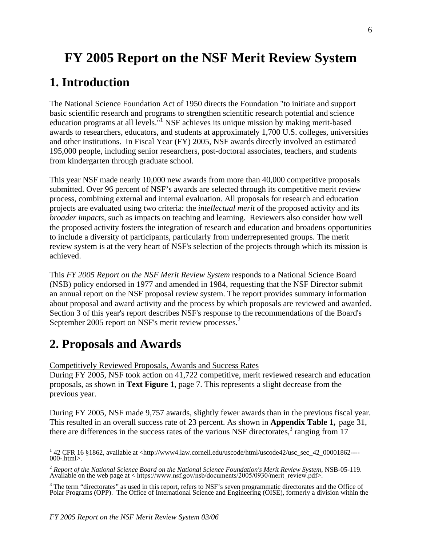# **FY 2005 Report on the NSF Merit Review System**

## **1. Introduction**

The National Science Foundation Act of 1950 directs the Foundation "to initiate and support basic scientific research and programs to strengthen scientific research potential and science education programs at all levels."<sup>1</sup> NSF achieves its unique mission by making merit-based awards to researchers, educators, and students at approximately 1,700 U.S. colleges, universities and other institutions. In Fiscal Year (FY) 2005, NSF awards directly involved an estimated 195,000 people, including senior researchers, post-doctoral associates, teachers, and students from kindergarten through graduate school.

This year NSF made nearly 10,000 new awards from more than 40,000 competitive proposals submitted. Over 96 percent of NSF's awards are selected through its competitive merit review process, combining external and internal evaluation. All proposals for research and education projects are evaluated using two criteria: the *intellectual merit* of the proposed activity and its *broader impacts*, such as impacts on teaching and learning. Reviewers also consider how well the proposed activity fosters the integration of research and education and broadens opportunities to include a diversity of participants, particularly from underrepresented groups. The merit review system is at the very heart of NSF's selection of the projects through which its mission is achieved.

This *FY 2005 Report on the NSF Merit Review System* responds to a National Science Board (NSB) policy endorsed in 1977 and amended in 1984, requesting that the NSF Director submit an annual report on the NSF proposal review system. The report provides summary information about proposal and award activity and the process by which proposals are reviewed and awarded. Section 3 of this year's report describes NSF's response to the recommendations of the Board's September 2005 report on NSF's merit review processes.<sup>2</sup>

# **2. Proposals and Awards**

Competitively Reviewed Proposals, Awards and Success Rates

During FY 2005, NSF took action on 41,722 competitive, merit reviewed research and education proposals, as shown in **Text Figure 1**, page 7. This represents a slight decrease from the previous year.

During FY 2005, NSF made 9,757 awards, slightly fewer awards than in the previous fiscal year. This resulted in an overall success rate of 23 percent. As shown in **Appendix Table 1,** page 31, there are differences in the success rates of the various NSF directorates, $3$  ranging from 17

<sup>&</sup>lt;sup>1</sup> 42 CFR 16 §1862, available at <http://www4.law.cornell.edu/uscode/html/uscode42/usc\_sec\_42\_00001862----000-.html>.

<sup>2</sup>*Report of the National Science Board on the National Science Foundation's Merit Review System*, NSB-05-119. Available on the web page at < [https://www.nsf.gov/nsb/documents/2005/0930/merit\\_review.pdf](https://www.nsf.gov/nsb/documents/2005/0930/merit_review.pdf)>.

 $3$  The term "directorates" as used in this report, refers to NSF's seven programmatic directorates and the Office of Polar Programs (OPP). The Office of International Science and Engineering (OISE), formerly a division within the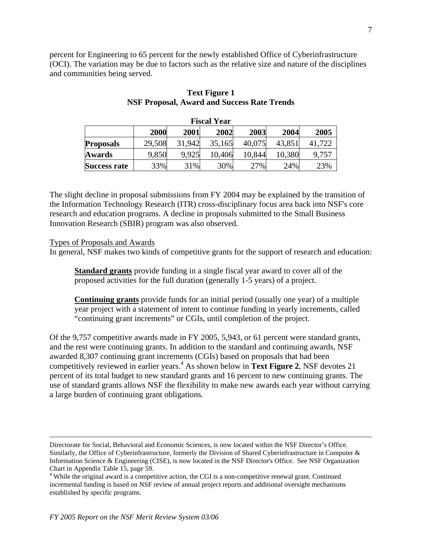percent for Engineering to 65 percent for the newly established Office of Cyberinfrastructure (OCI). The variation may be due to factors such as the relative size and nature of the disciplines and communities being served.

|                                              | <b>Fiscal Year</b> |        |        |        |        |        |  |  |  |  |  |  |  |
|----------------------------------------------|--------------------|--------|--------|--------|--------|--------|--|--|--|--|--|--|--|
| 2003<br>2005<br>2000<br>2004<br>2001<br>2002 |                    |        |        |        |        |        |  |  |  |  |  |  |  |
| <b>Proposals</b>                             | 29,508             | 31,942 | 35,165 | 40,075 | 43,851 | 41.722 |  |  |  |  |  |  |  |
| <b>Awards</b>                                | 9,850              | 9.925  | 10,406 | 10,844 | 10,380 | 9,757  |  |  |  |  |  |  |  |
| <b>Success rate</b>                          | 33%                | 31%    | 30%    | 27%    | 24%    | 23%    |  |  |  |  |  |  |  |

## **Text Figure 1 NSF Proposal, Award and Success Rate Trends**

The slight decline in proposal submissions from FY 2004 may be explained by the transition of the Information Technology Research (ITR) cross-disciplinary focus area back into NSF's core research and education programs. A decline in proposals submitted to the Small Business Innovation Research (SBIR) program was also observed.

Types of Proposals and Awards

In general, NSF makes two kinds of competitive grants for the support of research and education:

**Standard grants** provide funding in a single fiscal year award to cover all of the proposed activities for the full duration (generally 1-5 years) of a project.

**Continuing grants** provide funds for an initial period (usually one year) of a multiple year project with a statement of intent to continue funding in yearly increments, called "continuing grant increments" or CGIs, until completion of the project.

Of the 9,757 competitive awards made in FY 2005, 5,943, or 61 percent were standard grants, and the rest were continuing grants. In addition to the standard and continuing awards, NSF awarded 8,307 continuing grant increments (CGIs) based on proposals that had been competitively reviewed in earlier years.4 As shown below in **Text Figure 2**, NSF devotes 21 percent of its total budget to new standard grants and 16 percent to new continuing grants. The use of standard grants allows NSF the flexibility to make new awards each year without carrying a large burden of continuing grant obligations.

Directorate for Social, Behavioral and Economic Sciences, is now located within the NSF Director's Office. Similarly, the Office of Cyberinfrastructure, formerly the Division of Shared Cyberinfrastructure in Computer & Information Science & Engineering (CISE), is now located in the NSF Director's Office. See NSF Organization Chart in Appendix Table 15, page 59.

<sup>&</sup>lt;sup>4</sup> While the original award is a competitive action, the CGI is a non-competitive renewal grant. Continued incremental funding is based on NSF review of annual project reports and additional oversight mechanisms established by specific programs.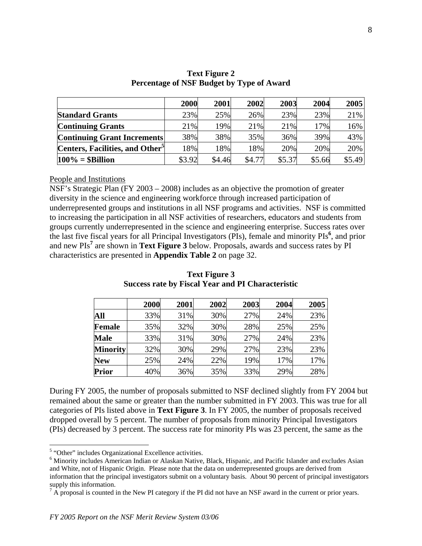|                                             | 2000   | 2001   | 2002   | 2003   | 2004   | 2005   |
|---------------------------------------------|--------|--------|--------|--------|--------|--------|
| <b>Standard Grants</b>                      | 23%    | 25%    | 26%    | 23%    | 23%    | 21%    |
| <b>Continuing Grants</b>                    | 21%    | 19%    | 21%    | 21%    | 17%    | 16%    |
| <b>Continuing Grant Increments</b>          | 38%    | 38%    | 35%    | 36%    | 39%    | 43%    |
| Centers, Facilities, and Other <sup>3</sup> | 18%    | 18%    | 18%    | 20%    | 20%    | 20%    |
| $100\% =$ \$Billion                         | \$3.92 | \$4.46 | \$4.77 | \$5.37 | \$5.66 | \$5.49 |

**Text Figure 2 Percentage of NSF Budget by Type of Award** 

People and Institutions

NSF's Strategic Plan (FY 2003 – 2008) includes as an objective the promotion of greater diversity in the science and engineering workforce through increased participation of underrepresented groups and institutions in all NSF programs and activities. NSF is committed to increasing the participation in all NSF activities of researchers, educators and students from groups currently underrepresented in the science and engineering enterprise. Success rates over the last five fiscal years for all Principal Investigators (PIs), female and minority PIs**<sup>6</sup>** , and prior and new PIs**<sup>7</sup>** are shown in **Text Figure 3** below. Proposals, awards and success rates by PI characteristics are presented in **Appendix Table 2** on page 32.

|                 | 2000 | 2001 | 2002 | 2003 | 2004 | 2005 |
|-----------------|------|------|------|------|------|------|
| All             | 33%  | 31%  | 30%  | 27%  | 24%  | 23%  |
| <b>Female</b>   | 35%  | 32%  | 30%  | 28%  | 25%  | 25%  |
| <b>Male</b>     | 33%  | 31%  | 30%  | 27%  | 24%  | 23%  |
| <b>Minority</b> | 32%  | 30%  | 29%  | 27%  | 23%  | 23%  |
| <b>New</b>      | 25%  | 24%  | 22%  | 19%  | 17%  | 17%  |
| <b>Prior</b>    | 40%  | 36%  | 35%  | 33%  | 29%  | 28%  |

**Text Figure 3 Success rate by Fiscal Year and PI Characteristic** 

During FY 2005, the number of proposals submitted to NSF declined slightly from FY 2004 but remained about the same or greater than the number submitted in FY 2003. This was true for all categories of PIs listed above in **Text Figure 3**. In FY 2005, the number of proposals received dropped overall by 5 percent. The number of proposals from minority Principal Investigators (PIs) decreased by 3 percent. The success rate for minority PIs was 23 percent, the same as the

 $^5$  "Other" includes Organizational Excellence activities.<br> $^6$  Minority includes American Indian or Aleckan Native

<sup>&</sup>lt;sup>6</sup> Minority includes American Indian or Alaskan Native, Black, Hispanic, and Pacific Islander and excludes Asian and White, not of Hispanic Origin. Please note that the data on underrepresented groups are derived from information that the principal investigators submit on a voluntary basis. About 90 percent of principal investigators supply this information.

 $^7$  A proposal is counted in the New PI category if the PI did not have an NSF award in the current or prior years.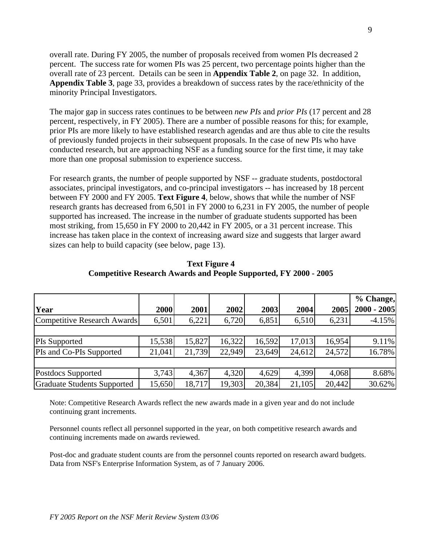overall rate. During FY 2005, the number of proposals received from women PIs decreased 2 percent. The success rate for women PIs was 25 percent, two percentage points higher than the overall rate of 23 percent. Details can be seen in **Appendix Table 2**, on page 32. In addition, **Appendix Table 3**, page 33, provides a breakdown of success rates by the race/ethnicity of the minority Principal Investigators.

The major gap in success rates continues to be between *new PIs* and *prior PIs* (17 percent and 28 percent, respectively, in FY 2005). There are a number of possible reasons for this; for example, prior PIs are more likely to have established research agendas and are thus able to cite the results of previously funded projects in their subsequent proposals. In the case of new PIs who have conducted research, but are approaching NSF as a funding source for the first time, it may take more than one proposal submission to experience success.

For research grants, the number of people supported by NSF -- graduate students, postdoctoral associates, principal investigators, and co-principal investigators -- has increased by 18 percent between FY 2000 and FY 2005. **Text Figure 4**, below, shows that while the number of NSF research grants has decreased from 6,501 in FY 2000 to 6,231 in FY 2005, the number of people supported has increased. The increase in the number of graduate students supported has been most striking, from 15,650 in FY 2000 to 20,442 in FY 2005, or a 31 percent increase. This increase has taken place in the context of increasing award size and suggests that larger award sizes can help to build capacity (see below, page 13).

|                             |        |        |        |        |        |        | % Change,     |
|-----------------------------|--------|--------|--------|--------|--------|--------|---------------|
| Year                        | 2000   | 2001   | 2002   | 2003   | 2004   | 2005   | $2000 - 2005$ |
| Competitive Research Awards | 6,501  | 6,221  | 6,720  | 6,851  | 6,510  | 6,231  | $-4.15%$      |
|                             |        |        |        |        |        |        |               |
| <b>PIs Supported</b>        | 15,538 | 15,827 | 16,322 | 16,592 | 17,013 | 16,954 | 9.11%         |
| PIs and Co-PIs Supported    | 21,041 | 21,739 | 22,949 | 23,649 | 24,612 | 24,572 | 16.78%        |
|                             |        |        |        |        |        |        |               |
| Postdocs Supported          | 3,743  | 4,367  | 4,320  | 4,629  | 4.399  | 4,068  | 8.68%         |
| Graduate Students Supported | 15,650 | 18,717 | 19,303 | 20,384 | 21,105 | 20,442 | 30.62%        |

**Text Figure 4 Competitive Research Awards and People Supported, FY 2000 - 2005** 

Note: Competitive Research Awards reflect the new awards made in a given year and do not include continuing grant increments.

Personnel counts reflect all personnel supported in the year, on both competitive research awards and continuing increments made on awards reviewed.

Post-doc and graduate student counts are from the personnel counts reported on research award budgets. Data from NSF's Enterprise Information System, as of 7 January 2006.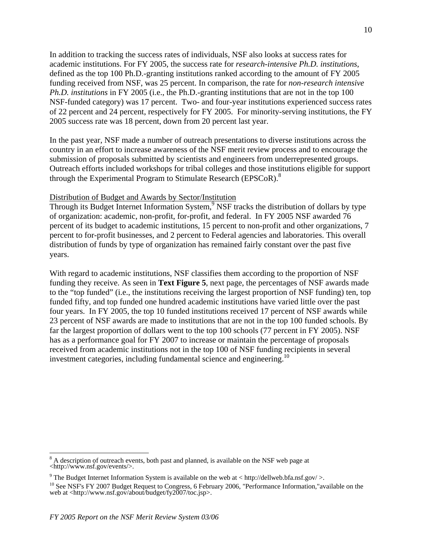In addition to tracking the success rates of individuals, NSF also looks at success rates for academic institutions. For FY 2005, the success rate for *research-intensive Ph.D. institutions*, defined as the top 100 Ph.D.-granting institutions ranked according to the amount of FY 2005 funding received from NSF, was 25 percent. In comparison, the rate for *non-research intensive Ph.D. institutions* in FY 2005 (i.e., the Ph.D.-granting institutions that are not in the top 100 NSF-funded category) was 17 percent. Two- and four-year institutions experienced success rates of 22 percent and 24 percent, respectively for FY 2005. For minority-serving institutions, the FY 2005 success rate was 18 percent, down from 20 percent last year.

In the past year, NSF made a number of outreach presentations to diverse institutions across the country in an effort to increase awareness of the NSF merit review process and to encourage the submission of proposals submitted by scientists and engineers from underrepresented groups. Outreach efforts included workshops for tribal colleges and those institutions eligible for support through the Experimental Program to Stimulate Research (EPSCoR).<sup>8</sup>

#### Distribution of Budget and Awards by Sector/Institution

Through its Budget Internet Information System,<sup>9</sup> NSF tracks the distribution of dollars by type of organization: academic, non-profit, for-profit, and federal. In FY 2005 NSF awarded 76 percent of its budget to academic institutions, 15 percent to non-profit and other organizations, 7 percent to for-profit businesses, and 2 percent to Federal agencies and laboratories. This overall distribution of funds by type of organization has remained fairly constant over the past five years.

With regard to academic institutions, NSF classifies them according to the proportion of NSF funding they receive. As seen in **Text Figure 5**, next page, the percentages of NSF awards made to the "top funded" (i.e., the institutions receiving the largest proportion of NSF funding) ten, top funded fifty, and top funded one hundred academic institutions have varied little over the past four years. In FY 2005, the top 10 funded institutions received 17 percent of NSF awards while 23 percent of NSF awards are made to institutions that are not in the top 100 funded schools. By far the largest proportion of dollars went to the top 100 schools (77 percent in FY 2005). NSF has as a performance goal for FY 2007 to increase or maintain the percentage of proposals received from academic institutions not in the top 100 of NSF funding recipients in several investment categories, including fundamental science and engineering.<sup>10</sup>

 $8$  A description of outreach events, both past and planned, is available on the NSF web page at <http://www.nsf.gov/events/>.

<sup>&</sup>lt;sup>9</sup> The Budget Internet Information System is available on the web at  $\langle$  http://dellweb.bfa.nsf.gov/ $\rangle$ .

<sup>&</sup>lt;sup>10</sup> See NSF's FY 2007 Budget Request to Congress, 6 February 2006, "Performance Information,"available on the web at <http://www.nsf.gov/about/budget/fy2007/toc.jsp>.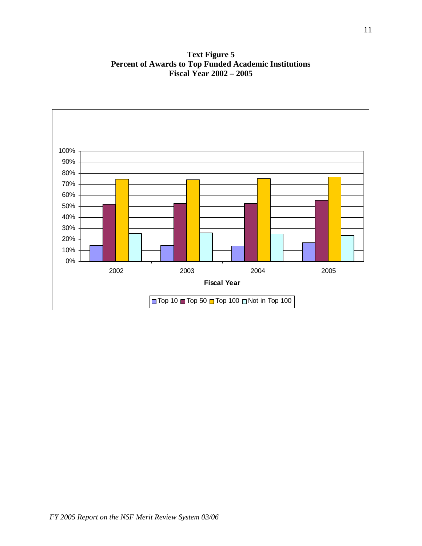**Text Figure 5 Percent of Awards to Top Funded Academic Institutions Fiscal Year 2002 – 2005** 

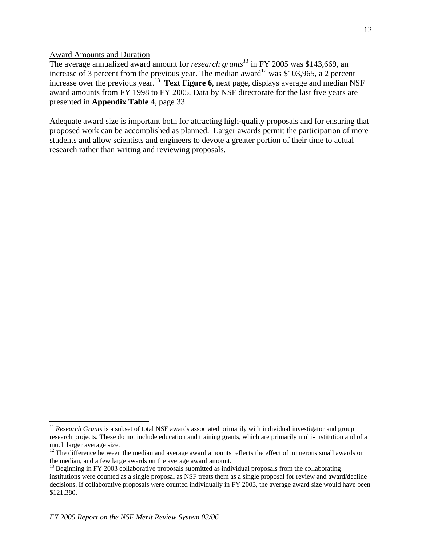Award Amounts and Duration

The average annualized award amount for *research grants<sup>11</sup>* in FY 2005 was \$143,669, an increase of 3 percent from the previous year. The median award<sup>12</sup> was \$103,965, a 2 percent increase over the previous year.<sup>13</sup> **Text Figure 6**, next page, displays average and median NSF award amounts from FY 1998 to FY 2005. Data by NSF directorate for the last five years are presented in **Appendix Table 4**, page 33.

Adequate award size is important both for attracting high-quality proposals and for ensuring that proposed work can be accomplished as planned. Larger awards permit the participation of more students and allow scientists and engineers to devote a greater portion of their time to actual research rather than writing and reviewing proposals.

<sup>&</sup>lt;sup>11</sup> Research Grants is a subset of total NSF awards associated primarily with individual investigator and group research projects. These do not include education and training grants, which are primarily multi-institution and of a

much larger average size.<br><sup>12</sup> The difference between the median and average award amounts reflects the effect of numerous small awards on<br>the median, and a few large awards on the average award amount.

<sup>&</sup>lt;sup>13</sup> Beginning in FY 2003 collaborative proposals submitted as individual proposals from the collaborating institutions were counted as a single proposal as NSF treats them as a single proposal for review and award/decline decisions. If collaborative proposals were counted individually in FY 2003, the average award size would have been \$121,380.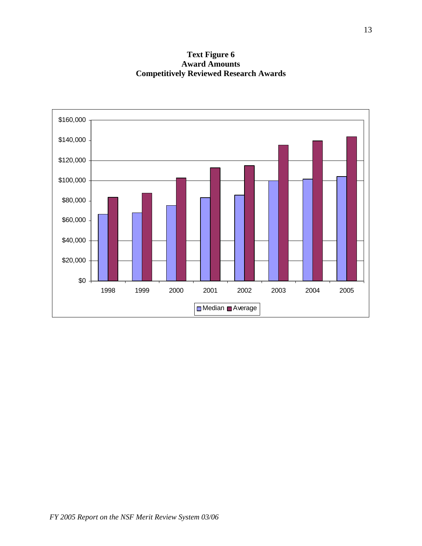**Text Figure 6 Award Amounts Competitively Reviewed Research Awards** 

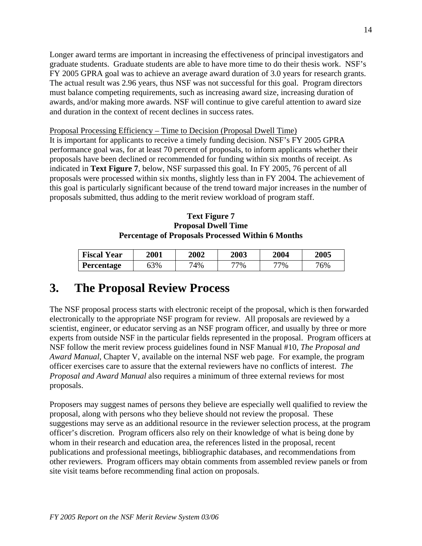Longer award terms are important in increasing the effectiveness of principal investigators and graduate students. Graduate students are able to have more time to do their thesis work. NSF's FY 2005 GPRA goal was to achieve an average award duration of 3.0 years for research grants. The actual result was 2.96 years, thus NSF was not successful for this goal. Program directors must balance competing requirements, such as increasing award size, increasing duration of awards, and/or making more awards. NSF will continue to give careful attention to award size and duration in the context of recent declines in success rates.

## Proposal Processing Efficiency – Time to Decision (Proposal Dwell Time)

It is important for applicants to receive a timely funding decision. NSF's FY 2005 GPRA performance goal was, for at least 70 percent of proposals, to inform applicants whether their proposals have been declined or recommended for funding within six months of receipt. As indicated in **Text Figure 7**, below, NSF surpassed this goal. In FY 2005, 76 percent of all proposals were processed within six months, slightly less than in FY 2004. The achievement of this goal is particularly significant because of the trend toward major increases in the number of proposals submitted, thus adding to the merit review workload of program staff.

## **Text Figure 7 Proposal Dwell Time Percentage of Proposals Processed Within 6 Months**

| <b>Fiscal Year</b> | <b>2001</b> | <b>2002</b> | <b>2003</b> | 2004 | <b>2005</b> |
|--------------------|-------------|-------------|-------------|------|-------------|
| Percentage         | 63%         | 74%         | 77%         | 77%  | 76%         |

## **3. The Proposal Review Process**

The NSF proposal process starts with electronic receipt of the proposal, which is then forwarded electronically to the appropriate NSF program for review. All proposals are reviewed by a scientist, engineer, or educator serving as an NSF program officer, and usually by three or more experts from outside NSF in the particular fields represented in the proposal. Program officers at NSF follow the merit review process guidelines found in NSF Manual #10, *The Proposal and Award Manual*, Chapter V, available on the internal NSF web page. For example, the program officer exercises care to assure that the external reviewers have no conflicts of interest. *The Proposal and Award Manual* also requires a minimum of three external reviews for most proposals.

Proposers may suggest names of persons they believe are especially well qualified to review the proposal, along with persons who they believe should not review the proposal. These suggestions may serve as an additional resource in the reviewer selection process, at the program officer's discretion. Program officers also rely on their knowledge of what is being done by whom in their research and education area, the references listed in the proposal, recent publications and professional meetings, bibliographic databases, and recommendations from other reviewers. Program officers may obtain comments from assembled review panels or from site visit teams before recommending final action on proposals.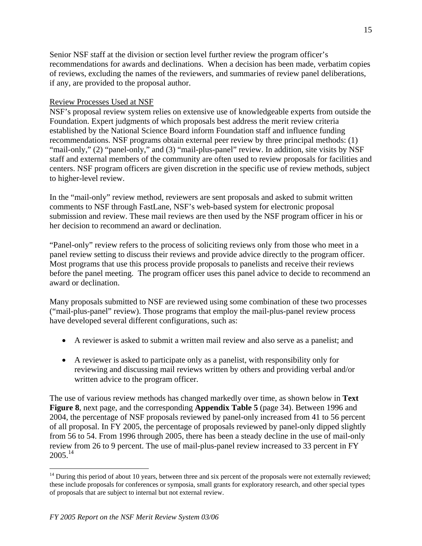Senior NSF staff at the division or section level further review the program officer's recommendations for awards and declinations. When a decision has been made, verbatim copies of reviews, excluding the names of the reviewers, and summaries of review panel deliberations, if any, are provided to the proposal author.

## Review Processes Used at NSF

NSF's proposal review system relies on extensive use of knowledgeable experts from outside the Foundation. Expert judgments of which proposals best address the merit review criteria established by the National Science Board inform Foundation staff and influence funding recommendations. NSF programs obtain external peer review by three principal methods: (1) "mail-only," (2) "panel-only," and (3) "mail-plus-panel" review. In addition, site visits by NSF staff and external members of the community are often used to review proposals for facilities and centers. NSF program officers are given discretion in the specific use of review methods, subject to higher-level review.

In the "mail-only" review method, reviewers are sent proposals and asked to submit written comments to NSF through FastLane, NSF's web-based system for electronic proposal submission and review. These mail reviews are then used by the NSF program officer in his or her decision to recommend an award or declination.

"Panel-only" review refers to the process of soliciting reviews only from those who meet in a panel review setting to discuss their reviews and provide advice directly to the program officer. Most programs that use this process provide proposals to panelists and receive their reviews before the panel meeting. The program officer uses this panel advice to decide to recommend an award or declination.

Many proposals submitted to NSF are reviewed using some combination of these two processes ("mail-plus-panel" review). Those programs that employ the mail-plus-panel review process have developed several different configurations, such as:

- A reviewer is asked to submit a written mail review and also serve as a panelist; and
- A reviewer is asked to participate only as a panelist, with responsibility only for reviewing and discussing mail reviews written by others and providing verbal and/or written advice to the program officer.

The use of various review methods has changed markedly over time, as shown below in **Text Figure 8**, next page, and the corresponding **Appendix Table 5** (page 34). Between 1996 and 2004, the percentage of NSF proposals reviewed by panel-only increased from 41 to 56 percent of all proposal. In FY 2005, the percentage of proposals reviewed by panel-only dipped slightly from 56 to 54. From 1996 through 2005, there has been a steady decline in the use of mail-only review from 26 to 9 percent. The use of mail-plus-panel review increased to 33 percent in FY  $2005.<sup>14</sup>$ 

 $<sup>14</sup>$  During this period of about 10 years, between three and six percent of the proposals were not externally reviewed;</sup> these include proposals for conferences or symposia, small grants for exploratory research, and other special types of proposals that are subject to internal but not external review.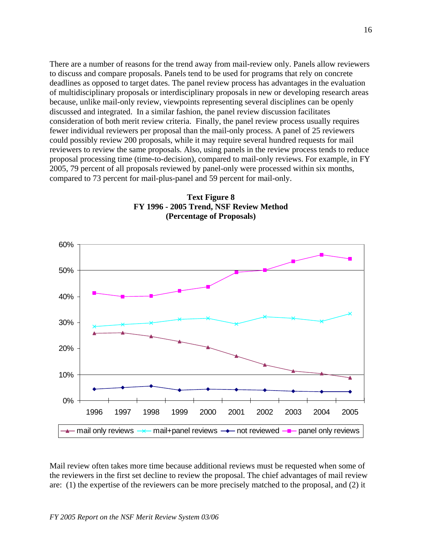There are a number of reasons for the trend away from mail-review only. Panels allow reviewers to discuss and compare proposals. Panels tend to be used for programs that rely on concrete deadlines as opposed to target dates. The panel review process has advantages in the evaluation of multidisciplinary proposals or interdisciplinary proposals in new or developing research areas because, unlike mail-only review, viewpoints representing several disciplines can be openly discussed and integrated. In a similar fashion, the panel review discussion facilitates consideration of both merit review criteria. Finally, the panel review process usually requires fewer individual reviewers per proposal than the mail-only process. A panel of 25 reviewers could possibly review 200 proposals, while it may require several hundred requests for mail reviewers to review the same proposals. Also, using panels in the review process tends to reduce proposal processing time (time-to-decision), compared to mail-only reviews. For example, in FY 2005, 79 percent of all proposals reviewed by panel-only were processed within six months, compared to 73 percent for mail-plus-panel and 59 percent for mail-only.





Mail review often takes more time because additional reviews must be requested when some of the reviewers in the first set decline to review the proposal. The chief advantages of mail review are: (1) the expertise of the reviewers can be more precisely matched to the proposal, and (2) it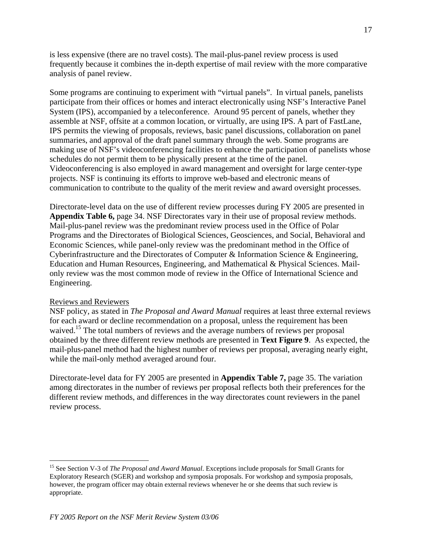is less expensive (there are no travel costs). The mail-plus-panel review process is used frequently because it combines the in-depth expertise of mail review with the more comparative analysis of panel review.

Some programs are continuing to experiment with "virtual panels". In virtual panels, panelists participate from their offices or homes and interact electronically using NSF's Interactive Panel System (IPS), accompanied by a teleconference. Around 95 percent of panels, whether they assemble at NSF, offsite at a common location, or virtually, are using IPS. A part of FastLane, IPS permits the viewing of proposals, reviews, basic panel discussions, collaboration on panel summaries, and approval of the draft panel summary through the web. Some programs are making use of NSF's videoconferencing facilities to enhance the participation of panelists whose schedules do not permit them to be physically present at the time of the panel. Videoconferencing is also employed in award management and oversight for large center-type projects. NSF is continuing its efforts to improve web-based and electronic means of communication to contribute to the quality of the merit review and award oversight processes.

Directorate-level data on the use of different review processes during FY 2005 are presented in **Appendix Table 6,** page 34. NSF Directorates vary in their use of proposal review methods. Mail-plus-panel review was the predominant review process used in the Office of Polar Programs and the Directorates of Biological Sciences, Geosciences, and Social, Behavioral and Economic Sciences, while panel-only review was the predominant method in the Office of Cyberinfrastructure and the Directorates of Computer & Information Science & Engineering, Education and Human Resources, Engineering, and Mathematical & Physical Sciences. Mailonly review was the most common mode of review in the Office of International Science and Engineering.

## Reviews and Reviewers

NSF policy, as stated in *The Proposal and Award Manual* requires at least three external reviews for each award or decline recommendation on a proposal, unless the requirement has been waived.<sup>15</sup> The total numbers of reviews and the average numbers of reviews per proposal obtained by the three different review methods are presented in **Text Figure 9**. As expected, the mail-plus-panel method had the highest number of reviews per proposal, averaging nearly eight, while the mail-only method averaged around four.

Directorate-level data for FY 2005 are presented in **Appendix Table 7,** page 35. The variation among directorates in the number of reviews per proposal reflects both their preferences for the different review methods, and differences in the way directorates count reviewers in the panel review process.

<sup>15</sup> See Section V-3 of *The Proposal and Award Manual*. Exceptions include proposals for Small Grants for Exploratory Research (SGER) and workshop and symposia proposals. For workshop and symposia proposals, however, the program officer may obtain external reviews whenever he or she deems that such review is appropriate.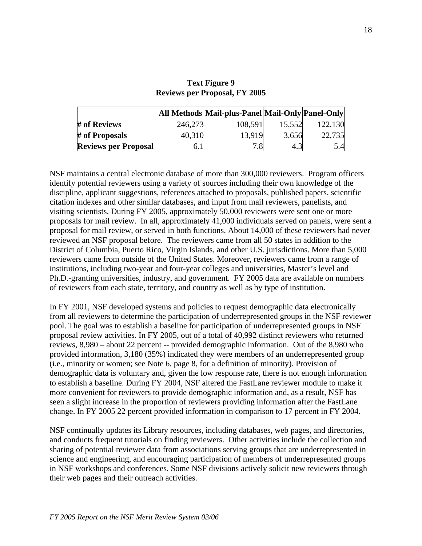|                             |         | All Methods   Mail-plus-Panel   Mail-Only   Panel-Only |        |         |
|-----------------------------|---------|--------------------------------------------------------|--------|---------|
| # of Reviews                | 246,273 | 108,591                                                | 15,552 | 122,130 |
| # of Proposals              | 40,310  | 13,919                                                 | 3,656  | 22,735  |
| <b>Reviews per Proposal</b> | 6. I    | 7.8                                                    |        | 5.4     |

## **Text Figure 9 Reviews per Proposal, FY 2005**

NSF maintains a central electronic database of more than 300,000 reviewers. Program officers identify potential reviewers using a variety of sources including their own knowledge of the discipline, applicant suggestions, references attached to proposals, published papers, scientific citation indexes and other similar databases, and input from mail reviewers, panelists, and visiting scientists. During FY 2005, approximately 50,000 reviewers were sent one or more proposals for mail review. In all, approximately 41,000 individuals served on panels, were sent a proposal for mail review, or served in both functions. About 14,000 of these reviewers had never reviewed an NSF proposal before. The reviewers came from all 50 states in addition to the District of Columbia, Puerto Rico, Virgin Islands, and other U.S. jurisdictions. More than 5,000 reviewers came from outside of the United States. Moreover, reviewers came from a range of institutions, including two-year and four-year colleges and universities, Master's level and Ph.D.-granting universities, industry, and government. FY 2005 data are available on numbers of reviewers from each state, territory, and country as well as by type of institution.

In FY 2001, NSF developed systems and policies to request demographic data electronically from all reviewers to determine the participation of underrepresented groups in the NSF reviewer pool. The goal was to establish a baseline for participation of underrepresented groups in NSF proposal review activities. In FY 2005, out of a total of 40,992 distinct reviewers who returned reviews, 8,980 – about 22 percent -- provided demographic information. Out of the 8,980 who provided information, 3,180 (35%) indicated they were members of an underrepresented group (i.e., minority or women; see Note 6, page 8, for a definition of minority). Provision of demographic data is voluntary and, given the low response rate, there is not enough information to establish a baseline. During FY 2004, NSF altered the FastLane reviewer module to make it more convenient for reviewers to provide demographic information and, as a result, NSF has seen a slight increase in the proportion of reviewers providing information after the FastLane change. In FY 2005 22 percent provided information in comparison to 17 percent in FY 2004.

NSF continually updates its Library resources, including databases, web pages, and directories, and conducts frequent tutorials on finding reviewers. Other activities include the collection and sharing of potential reviewer data from associations serving groups that are underrepresented in science and engineering, and encouraging participation of members of underrepresented groups in NSF workshops and conferences. Some NSF divisions actively solicit new reviewers through their web pages and their outreach activities.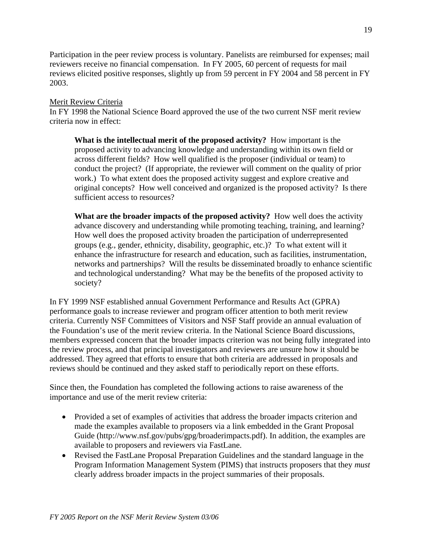Participation in the peer review process is voluntary. Panelists are reimbursed for expenses; mail reviewers receive no financial compensation. In FY 2005, 60 percent of requests for mail reviews elicited positive responses, slightly up from 59 percent in FY 2004 and 58 percent in FY 2003.

## Merit Review Criteria

In FY 1998 the National Science Board approved the use of the two current NSF merit review criteria now in effect:

**What is the intellectual merit of the proposed activity?** How important is the proposed activity to advancing knowledge and understanding within its own field or across different fields? How well qualified is the proposer (individual or team) to conduct the project? (If appropriate, the reviewer will comment on the quality of prior work.) To what extent does the proposed activity suggest and explore creative and original concepts? How well conceived and organized is the proposed activity? Is there sufficient access to resources?

**What are the broader impacts of the proposed activity?** How well does the activity advance discovery and understanding while promoting teaching, training, and learning? How well does the proposed activity broaden the participation of underrepresented groups (e.g., gender, ethnicity, disability, geographic, etc.)? To what extent will it enhance the infrastructure for research and education, such as facilities, instrumentation, networks and partnerships? Will the results be disseminated broadly to enhance scientific and technological understanding? What may be the benefits of the proposed activity to society?

In FY 1999 NSF established annual Government Performance and Results Act (GPRA) performance goals to increase reviewer and program officer attention to both merit review criteria. Currently NSF Committees of Visitors and NSF Staff provide an annual evaluation of the Foundation's use of the merit review criteria. In the National Science Board discussions, members expressed concern that the broader impacts criterion was not being fully integrated into the review process, and that principal investigators and reviewers are unsure how it should be addressed. They agreed that efforts to ensure that both criteria are addressed in proposals and reviews should be continued and they asked staff to periodically report on these efforts.

Since then, the Foundation has completed the following actions to raise awareness of the importance and use of the merit review criteria:

- Provided a set of examples of activities that address the broader impacts criterion and made the examples available to proposers via a link embedded in the Grant Proposal Guide (http://www.nsf.gov/pubs/gpg/broaderimpacts.pdf). In addition, the examples are available to proposers and reviewers via FastLane.
- Revised the FastLane Proposal Preparation Guidelines and the standard language in the Program Information Management System (PIMS) that instructs proposers that they *must*  clearly address broader impacts in the project summaries of their proposals.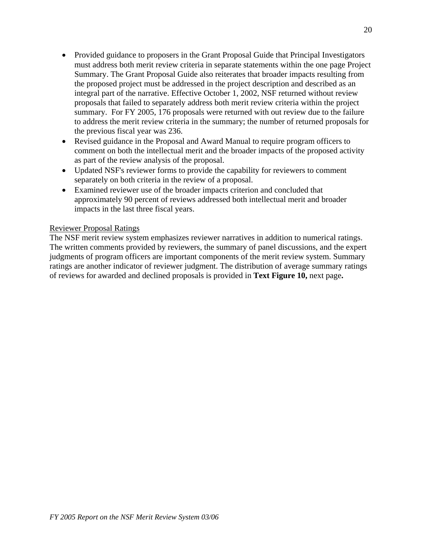- Provided guidance to proposers in the Grant Proposal Guide that Principal Investigators must address both merit review criteria in separate statements within the one page Project Summary. The Grant Proposal Guide also reiterates that broader impacts resulting from the proposed project must be addressed in the project description and described as an integral part of the narrative. Effective October 1, 2002, NSF returned without review proposals that failed to separately address both merit review criteria within the project summary. For FY 2005, 176 proposals were returned with out review due to the failure to address the merit review criteria in the summary; the number of returned proposals for the previous fiscal year was 236.
- Revised guidance in the Proposal and Award Manual to require program officers to comment on both the intellectual merit and the broader impacts of the proposed activity as part of the review analysis of the proposal.
- Updated NSF's reviewer forms to provide the capability for reviewers to comment separately on both criteria in the review of a proposal.
- Examined reviewer use of the broader impacts criterion and concluded that approximately 90 percent of reviews addressed both intellectual merit and broader impacts in the last three fiscal years.

## Reviewer Proposal Ratings

The NSF merit review system emphasizes reviewer narratives in addition to numerical ratings. The written comments provided by reviewers, the summary of panel discussions, and the expert judgments of program officers are important components of the merit review system. Summary ratings are another indicator of reviewer judgment. The distribution of average summary ratings of reviews for awarded and declined proposals is provided in **Text Figure 10,** next page**.**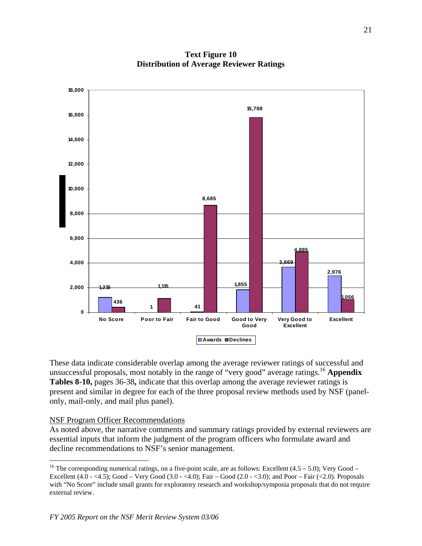

**Text Figure 10 Distribution of Average Reviewer Ratings** 

These data indicate considerable overlap among the average reviewer ratings of successful and unsuccessful proposals, most notably in the range of "very good" average ratings.16 **Appendix Tables 8-10,** pages 36-38**,** indicate that this overlap among the average reviewer ratings is present and similar in degree for each of the three proposal review methods used by NSF (panelonly, mail-only, and mail plus panel).

#### NSF Program Officer Recommendations

As noted above, the narrative comments and summary ratings provided by external reviewers are essential inputs that inform the judgment of the program officers who formulate award and decline recommendations to NSF's senior management.

<sup>&</sup>lt;sup>16</sup> The corresponding numerical ratings, on a five-point scale, are as follows: Excellent  $(4.5 - 5.0)$ ; Very Good – Excellent  $(4.0 - <4.5)$ ; Good – Very Good  $(3.0 - <4.0)$ ; Fair – Good  $(2.0 - <3.0)$ ; and Poor – Fair  $(<2.0)$ . Proposals with "No Score" include small grants for exploratory research and workshop/symposia proposals that do not require external review.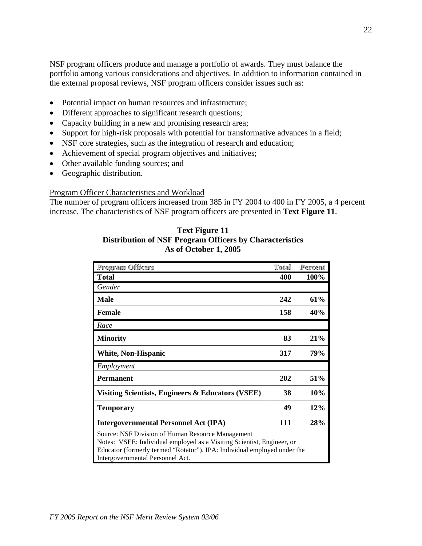NSF program officers produce and manage a portfolio of awards. They must balance the portfolio among various considerations and objectives. In addition to information contained in the external proposal reviews, NSF program officers consider issues such as:

- Potential impact on human resources and infrastructure;
- Different approaches to significant research questions;
- Capacity building in a new and promising research area;
- Support for high-risk proposals with potential for transformative advances in a field;
- NSF core strategies, such as the integration of research and education;
- Achievement of special program objectives and initiatives;
- Other available funding sources; and
- Geographic distribution.

## Program Officer Characteristics and Workload

The number of program officers increased from 385 in FY 2004 to 400 in FY 2005, a 4 percent increase. The characteristics of NSF program officers are presented in **Text Figure 11**.

| <b>Text Figure 11</b>                                          |
|----------------------------------------------------------------|
| <b>Distribution of NSF Program Officers by Characteristics</b> |
| As of October 1, 2005                                          |

| Program Officers                                                                                                                                                                                                                            | Total | Percent |  |  |  |
|---------------------------------------------------------------------------------------------------------------------------------------------------------------------------------------------------------------------------------------------|-------|---------|--|--|--|
| <b>Total</b>                                                                                                                                                                                                                                | 400   | 100%    |  |  |  |
| Gender                                                                                                                                                                                                                                      |       |         |  |  |  |
| <b>Male</b>                                                                                                                                                                                                                                 | 242   | 61%     |  |  |  |
| <b>Female</b>                                                                                                                                                                                                                               | 158   | 40%     |  |  |  |
| Race                                                                                                                                                                                                                                        |       |         |  |  |  |
| <b>Minority</b>                                                                                                                                                                                                                             | 83    | 21%     |  |  |  |
| <b>White, Non-Hispanic</b>                                                                                                                                                                                                                  | 317   | 79%     |  |  |  |
| Employment                                                                                                                                                                                                                                  |       |         |  |  |  |
| <b>Permanent</b>                                                                                                                                                                                                                            | 202   | 51%     |  |  |  |
| Visiting Scientists, Engineers & Educators (VSEE)                                                                                                                                                                                           | 38    | 10%     |  |  |  |
| <b>Temporary</b>                                                                                                                                                                                                                            | 49    | 12%     |  |  |  |
| <b>Intergovernmental Personnel Act (IPA)</b>                                                                                                                                                                                                | 111   | 28%     |  |  |  |
| Source: NSF Division of Human Resource Management<br>Notes: VSEE: Individual employed as a Visiting Scientist, Engineer, or<br>Educator (formerly termed "Rotator"). IPA: Individual employed under the<br>Intergovernmental Personnel Act. |       |         |  |  |  |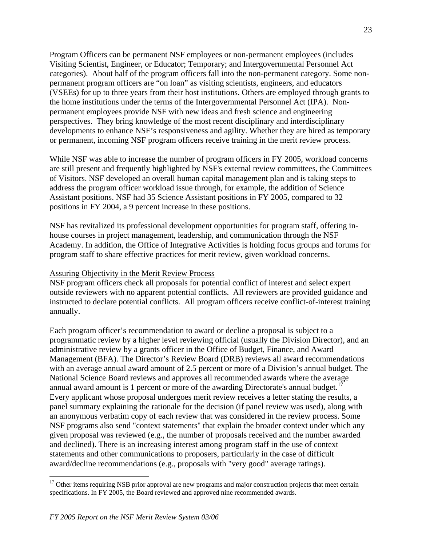Program Officers can be permanent NSF employees or non-permanent employees (includes Visiting Scientist, Engineer, or Educator; Temporary; and Intergovernmental Personnel Act categories). About half of the program officers fall into the non-permanent category. Some nonpermanent program officers are "on loan" as visiting scientists, engineers, and educators (VSEEs) for up to three years from their host institutions. Others are employed through grants to the home institutions under the terms of the Intergovernmental Personnel Act (IPA). Nonpermanent employees provide NSF with new ideas and fresh science and engineering perspectives. They bring knowledge of the most recent disciplinary and interdisciplinary developments to enhance NSF's responsiveness and agility. Whether they are hired as temporary or permanent, incoming NSF program officers receive training in the merit review process.

While NSF was able to increase the number of program officers in FY 2005, workload concerns are still present and frequently highlighted by NSF's external review committees, the Committees of Visitors. NSF developed an overall human capital management plan and is taking steps to address the program officer workload issue through, for example, the addition of Science Assistant positions. NSF had 35 Science Assistant positions in FY 2005, compared to 32 positions in FY 2004, a 9 percent increase in these positions.

NSF has revitalized its professional development opportunities for program staff, offering inhouse courses in project management, leadership, and communication through the NSF Academy. In addition, the Office of Integrative Activities is holding focus groups and forums for program staff to share effective practices for merit review, given workload concerns.

#### Assuring Objectivity in the Merit Review Process

NSF program officers check all proposals for potential conflict of interest and select expert outside reviewers with no apparent potential conflicts. All reviewers are provided guidance and instructed to declare potential conflicts. All program officers receive conflict-of-interest training annually.

Each program officer's recommendation to award or decline a proposal is subject to a programmatic review by a higher level reviewing official (usually the Division Director), and an administrative review by a grants officer in the Office of Budget, Finance, and Award Management (BFA). The Director's Review Board (DRB) reviews all award recommendations with an average annual award amount of 2.5 percent or more of a Division's annual budget. The National Science Board reviews and approves all recommended awards where the average annual award amount is 1 percent or more of the awarding Directorate's annual budget.<sup>17</sup> Every applicant whose proposal undergoes merit review receives a letter stating the results, a panel summary explaining the rationale for the decision (if panel review was used), along with an anonymous verbatim copy of each review that was considered in the review process. Some NSF programs also send "context statements" that explain the broader context under which any given proposal was reviewed (e.g., the number of proposals received and the number awarded and declined). There is an increasing interest among program staff in the use of context statements and other communications to proposers, particularly in the case of difficult award/decline recommendations (e.g., proposals with "very good" average ratings).

<sup>&</sup>lt;sup>17</sup> Other items requiring NSB prior approval are new programs and major construction projects that meet certain specifications. In FY 2005, the Board reviewed and approved nine recommended awards.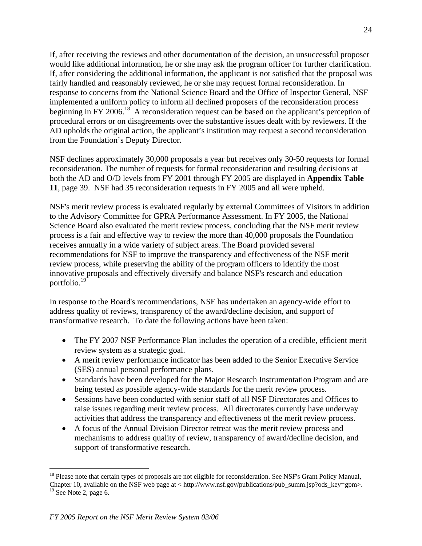If, after receiving the reviews and other documentation of the decision, an unsuccessful proposer would like additional information, he or she may ask the program officer for further clarification. If, after considering the additional information, the applicant is not satisfied that the proposal was fairly handled and reasonably reviewed, he or she may request formal reconsideration. In response to concerns from the National Science Board and the Office of Inspector General, NSF implemented a uniform policy to inform all declined proposers of the reconsideration process beginning in FY 2006.<sup>18</sup> A reconsideration request can be based on the applicant's perception of procedural errors or on disagreements over the substantive issues dealt with by reviewers. If the AD upholds the original action, the applicant's institution may request a second reconsideration from the Foundation's Deputy Director.

NSF declines approximately 30,000 proposals a year but receives only 30-50 requests for formal reconsideration. The number of requests for formal reconsideration and resulting decisions at both the AD and O/D levels from FY 2001 through FY 2005 are displayed in **Appendix Table 11**, page 39. NSF had 35 reconsideration requests in FY 2005 and all were upheld.

NSF's merit review process is evaluated regularly by external Committees of Visitors in addition to the Advisory Committee for GPRA Performance Assessment. In FY 2005, the National Science Board also evaluated the merit review process, concluding that the NSF merit review process is a fair and effective way to review the more than 40,000 proposals the Foundation receives annually in a wide variety of subject areas. The Board provided several recommendations for NSF to improve the transparency and effectiveness of the NSF merit review process, while preserving the ability of the program officers to identify the most innovative proposals and effectively diversify and balance NSF's research and education portfolio.19

In response to the Board's recommendations, NSF has undertaken an agency-wide effort to address quality of reviews, transparency of the award/decline decision, and support of transformative research. To date the following actions have been taken:

- The FY 2007 NSF Performance Plan includes the operation of a credible, efficient merit review system as a strategic goal.
- A merit review performance indicator has been added to the Senior Executive Service (SES) annual personal performance plans.
- Standards have been developed for the Major Research Instrumentation Program and are being tested as possible agency-wide standards for the merit review process.
- Sessions have been conducted with senior staff of all NSF Directorates and Offices to raise issues regarding merit review process. All directorates currently have underway activities that address the transparency and effectiveness of the merit review process.
- A focus of the Annual Division Director retreat was the merit review process and mechanisms to address quality of review, transparency of award/decline decision, and support of transformative research.

<sup>&</sup>lt;sup>18</sup> Please note that certain types of proposals are not eligible for reconsideration. See NSF's Grant Policy Manual, Chapter 10, available on the NSF web page at < http://www.nsf.gov/publications/pub\_summ.jsp?ods\_key=gpm>.

 $19$  See Note 2, page 6.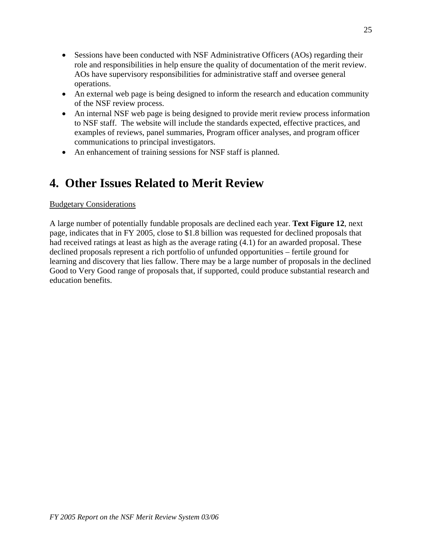- Sessions have been conducted with NSF Administrative Officers (AOs) regarding their role and responsibilities in help ensure the quality of documentation of the merit review. AOs have supervisory responsibilities for administrative staff and oversee general operations.
- An external web page is being designed to inform the research and education community of the NSF review process.
- An internal NSF web page is being designed to provide merit review process information to NSF staff. The website will include the standards expected, effective practices, and examples of reviews, panel summaries, Program officer analyses, and program officer communications to principal investigators.
- An enhancement of training sessions for NSF staff is planned.

# **4. Other Issues Related to Merit Review**

## Budgetary Considerations

A large number of potentially fundable proposals are declined each year. **Text Figure 12**, next page, indicates that in FY 2005, close to \$1.8 billion was requested for declined proposals that had received ratings at least as high as the average rating (4.1) for an awarded proposal. These declined proposals represent a rich portfolio of unfunded opportunities – fertile ground for learning and discovery that lies fallow. There may be a large number of proposals in the declined Good to Very Good range of proposals that, if supported, could produce substantial research and education benefits.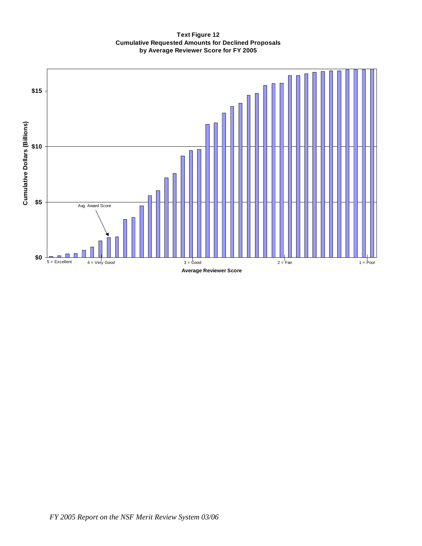#### **Text Figure 12 Cumulative Requested Amounts for Declined Proposals by Average Reviewer Score for FY 2005**

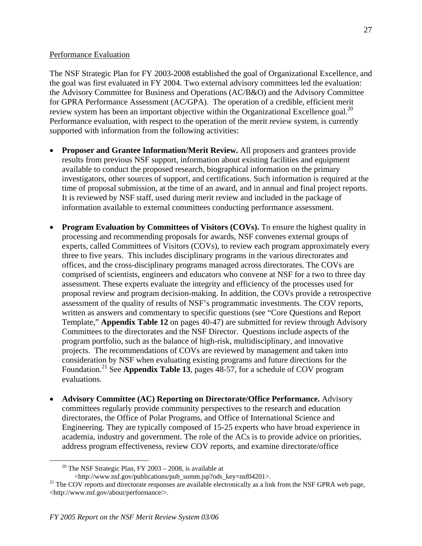#### Performance Evaluation

The NSF Strategic Plan for FY 2003-2008 established the goal of Organizational Excellence, and the goal was first evaluated in FY 2004. Two external advisory committees led the evaluation: the Advisory Committee for Business and Operations (AC/B&O) and the Advisory Committee for GPRA Performance Assessment (AC/GPA). The operation of a credible, efficient merit review system has been an important objective within the Organizational Excellence goal.<sup>20</sup> Performance evaluation, with respect to the operation of the merit review system, is currently supported with information from the following activities:

- **Proposer and Grantee Information/Merit Review.** All proposers and grantees provide results from previous NSF support, information about existing facilities and equipment available to conduct the proposed research, biographical information on the primary investigators, other sources of support, and certifications. Such information is required at the time of proposal submission, at the time of an award, and in annual and final project reports. It is reviewed by NSF staff, used during merit review and included in the package of information available to external committees conducting performance assessment.
- **Program Evaluation by Committees of Visitors (COVs).** To ensure the highest quality in processing and recommending proposals for awards, NSF convenes external groups of experts, called Committees of Visitors (COVs), to review each program approximately every three to five years. This includes disciplinary programs in the various directorates and offices, and the cross-disciplinary programs managed across directorates. The COVs are comprised of scientists, engineers and educators who convene at NSF for a two to three day assessment. These experts evaluate the integrity and efficiency of the processes used for proposal review and program decision-making. In addition, the COVs provide a retrospective assessment of the quality of results of NSF's programmatic investments. The COV reports, written as answers and commentary to specific questions (see "Core Questions and Report Template," **Appendix Table 12** on pages 40-47) are submitted for review through Advisory Committees to the directorates and the NSF Director. Questions include aspects of the program portfolio, such as the balance of high-risk, multidisciplinary, and innovative projects. The recommendations of COVs are reviewed by management and taken into consideration by NSF when evaluating existing programs and future directions for the Foundation.21 See **Appendix Table 13**, pages 48-57, for a schedule of COV program evaluations.
- **Advisory Committee (AC) Reporting on Directorate/Office Performance.** Advisory committees regularly provide community perspectives to the research and education directorates, the Office of Polar Programs, and Office of International Science and Engineering. They are typically composed of 15-25 experts who have broad experience in academia, industry and government. The role of the ACs is to provide advice on priorities, address program effectiveness, review COV reports, and examine directorate/office

<sup>&</sup>lt;sup>20</sup> The NSF Strategic Plan, FY 2003 – 2008, is available at <br>
<http://www.nsf.gov/publications/pub summ.jsp?ods key=nsf04201>.

 $^{21}$  The COV reports and directorate responses are available electronically as a link from the NSF GPRA web page, <http://www.nsf.gov/about/performance/>.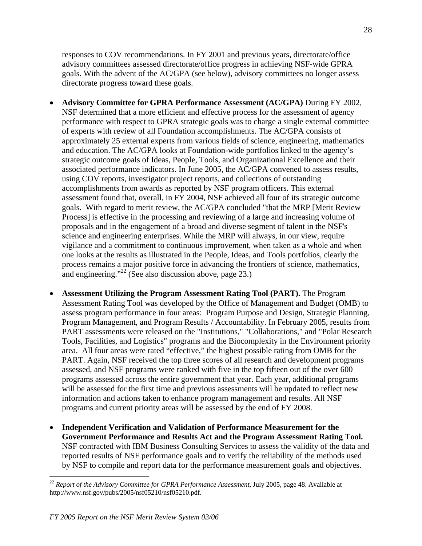responses to COV recommendations. In FY 2001 and previous years, directorate/office advisory committees assessed directorate/office progress in achieving NSF-wide GPRA goals. With the advent of the AC/GPA (see below), advisory committees no longer assess directorate progress toward these goals.

- **Advisory Committee for GPRA Performance Assessment (AC/GPA)** During FY 2002, NSF determined that a more efficient and effective process for the assessment of agency performance with respect to GPRA strategic goals was to charge a single external committee of experts with review of all Foundation accomplishments. The AC/GPA consists of approximately 25 external experts from various fields of science, engineering, mathematics and education. The AC/GPA looks at Foundation-wide portfolios linked to the agency's strategic outcome goals of Ideas, People, Tools, and Organizational Excellence and their associated performance indicators. In June 2005, the AC/GPA convened to assess results, using COV reports, investigator project reports, and collections of outstanding accomplishments from awards as reported by NSF program officers. This external assessment found that, overall, in FY 2004, NSF achieved all four of its strategic outcome goals. With regard to merit review, the AC/GPA concluded "that the MRP [Merit Review Process] is effective in the processing and reviewing of a large and increasing volume of proposals and in the engagement of a broad and diverse segment of talent in the NSF's science and engineering enterprises. While the MRP will always, in our view, require vigilance and a commitment to continuous improvement, when taken as a whole and when one looks at the results as illustrated in the People, Ideas, and Tools portfolios, clearly the process remains a major positive force in advancing the frontiers of science, mathematics, and engineering."<sup>22</sup> (See also discussion above, page 23.)
- **Assessment Utilizing the Program Assessment Rating Tool (PART).** The Program Assessment Rating Tool was developed by the Office of Management and Budget (OMB) to assess program performance in four areas: Program Purpose and Design, Strategic Planning, Program Management, and Program Results / Accountability. In February 2005, results from PART assessments were released on the "Institutions," "Collaborations," and "Polar Research Tools, Facilities, and Logistics" programs and the Biocomplexity in the Environment priority area. All four areas were rated "effective," the highest possible rating from OMB for the PART. Again, NSF received the top three scores of all research and development programs assessed, and NSF programs were ranked with five in the top fifteen out of the over 600 programs assessed across the entire government that year. Each year, additional programs will be assessed for the first time and previous assessments will be updated to reflect new information and actions taken to enhance program management and results. All NSF programs and current priority areas will be assessed by the end of FY 2008.
- **Independent Verification and Validation of Performance Measurement for the Government Performance and Results Act and the Program Assessment Rating Tool.**  NSF contracted with IBM Business Consulting Services to assess the validity of the data and reported results of NSF performance goals and to verify the reliability of the methods used by NSF to compile and report data for the performance measurement goals and objectives.

<sup>22</sup>*Report of the Advisory Committee for GPRA Performance Assessment*, July 2005, page 48. Available at http://www.nsf.gov/pubs/2005/nsf05210/nsf05210.pdf.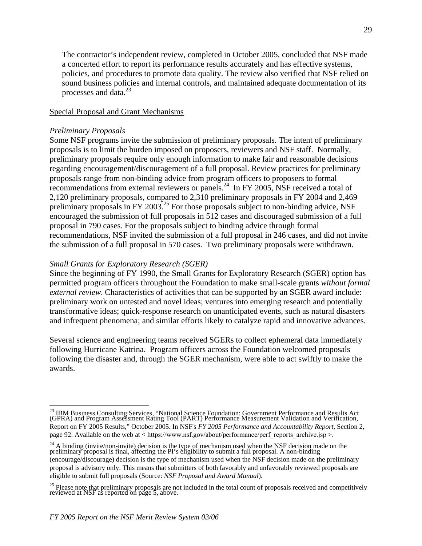The contractor's independent review, completed in October 2005, concluded that NSF made a concerted effort to report its performance results accurately and has effective systems, policies, and procedures to promote data quality. The review also verified that NSF relied on sound business policies and internal controls, and maintained adequate documentation of its processes and data. $^{23}$ 

#### Special Proposal and Grant Mechanisms

#### *Preliminary Proposals*

Some NSF programs invite the submission of preliminary proposals. The intent of preliminary proposals is to limit the burden imposed on proposers, reviewers and NSF staff. Normally, preliminary proposals require only enough information to make fair and reasonable decisions regarding encouragement/discouragement of a full proposal. Review practices for preliminary proposals range from non-binding advice from program officers to proposers to formal recommendations from external reviewers or panels.<sup>24</sup> In FY 2005, NSF received a total of 2,120 preliminary proposals, compared to 2,310 preliminary proposals in FY 2004 and 2,469 preliminary proposals in FY 2003.<sup>25</sup> For those proposals subject to non-binding advice, NSF encouraged the submission of full proposals in 512 cases and discouraged submission of a full proposal in 790 cases. For the proposals subject to binding advice through formal recommendations, NSF invited the submission of a full proposal in 246 cases, and did not invite the submission of a full proposal in 570 cases. Two preliminary proposals were withdrawn.

#### *Small Grants for Exploratory Research (SGER)*

Since the beginning of FY 1990, the Small Grants for Exploratory Research (SGER) option has permitted program officers throughout the Foundation to make small-scale grants *without formal external review*. Characteristics of activities that can be supported by an SGER award include: preliminary work on untested and novel ideas; ventures into emerging research and potentially transformative ideas; quick-response research on unanticipated events, such as natural disasters and infrequent phenomena; and similar efforts likely to catalyze rapid and innovative advances.

Several science and engineering teams received SGERs to collect ephemeral data immediately following Hurricane Katrina. Program officers across the Foundation welcomed proposals following the disaster and, through the SGER mechanism, were able to act swiftly to make the awards.

<sup>&</sup>lt;sup>23</sup> IBM Business Consulting Services, "National Science Foundation: Government Performance and Results Act<br>(GPRA) and Program Assessment Rating Tool (PART) Performance Measurement Validation and Verification, Report on FY 2005 Results," October 2005. In NSF's *FY 2005 Performance and Accountability Report*, Section 2, page 92. Available on the web at < https://www.nsf.gov/about/performance/perf\_reports\_archive.jsp >.

<sup>&</sup>lt;sup>24</sup> A binding (invite/non-invite) decision is the type of mechanism used when the NSF decision made on the preliminary proposal is final, affecting the PI's eligibility to submit a full proposal. A non-binding (encourage/discourage) decision is the type of mechanism used when the NSF decision made on the preliminary proposal is advisory only. This means that submitters of both favorably and unfavorably reviewed proposals are eligible to submit full proposals (Source: *NSF Proposal and Award Manual*).

<sup>&</sup>lt;sup>25</sup> Please note that preliminary proposals are not included in the total count of proposals received and competitively reviewed at NSF as reported on page 5, above.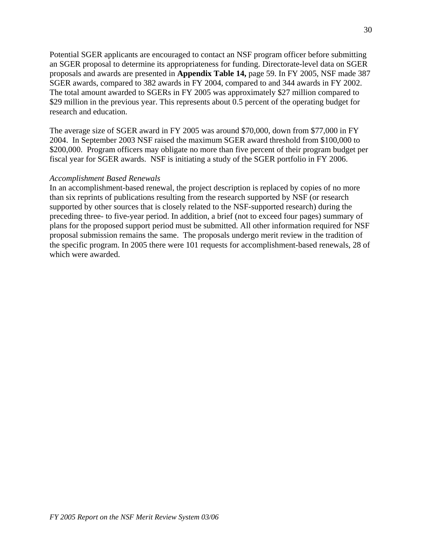Potential SGER applicants are encouraged to contact an NSF program officer before submitting an SGER proposal to determine its appropriateness for funding. Directorate-level data on SGER proposals and awards are presented in **Appendix Table 14,** page 59. In FY 2005, NSF made 387 SGER awards, compared to 382 awards in FY 2004, compared to and 344 awards in FY 2002. The total amount awarded to SGERs in FY 2005 was approximately \$27 million compared to \$29 million in the previous year. This represents about 0.5 percent of the operating budget for research and education.

The average size of SGER award in FY 2005 was around \$70,000, down from \$77,000 in FY 2004. In September 2003 NSF raised the maximum SGER award threshold from \$100,000 to \$200,000. Program officers may obligate no more than five percent of their program budget per fiscal year for SGER awards. NSF is initiating a study of the SGER portfolio in FY 2006.

#### *Accomplishment Based Renewals*

In an accomplishment-based renewal, the project description is replaced by copies of no more than six reprints of publications resulting from the research supported by NSF (or research supported by other sources that is closely related to the NSF-supported research) during the preceding three- to five-year period. In addition, a brief (not to exceed four pages) summary of plans for the proposed support period must be submitted. All other information required for NSF proposal submission remains the same. The proposals undergo merit review in the tradition of the specific program. In 2005 there were 101 requests for accomplishment-based renewals, 28 of which were awarded.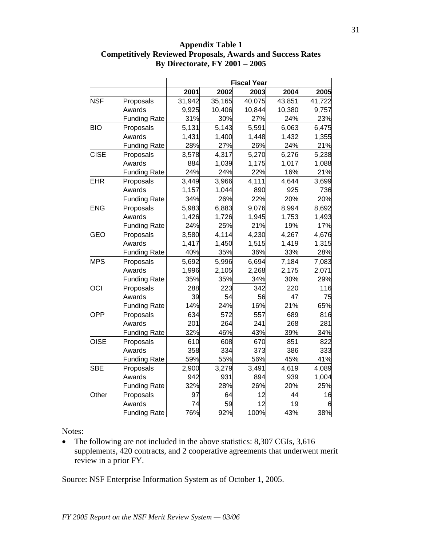|             |                     |        |        | <b>Fiscal Year</b> |        |        |
|-------------|---------------------|--------|--------|--------------------|--------|--------|
|             |                     | 2001   | 2002   | 2003               | 2004   | 2005   |
| <b>NSF</b>  | Proposals           | 31,942 | 35,165 | 40,075             | 43,851 | 41,722 |
|             | Awards              | 9,925  | 10,406 | 10,844             | 10,380 | 9,757  |
|             | <b>Funding Rate</b> | 31%    | 30%    | 27%                | 24%    | 23%    |
| <b>BIO</b>  | Proposals           | 5,131  | 5,143  | 5,591              | 6,063  | 6,475  |
|             | Awards              | 1,431  | 1,400  | 1,448              | 1,432  | 1,355  |
|             | <b>Funding Rate</b> | 28%    | 27%    | 26%                | 24%    | 21%    |
| <b>CISE</b> | Proposals           | 3,578  | 4,317  | 5,270              | 6,276  | 5,238  |
|             | Awards              | 884    | 1,039  | 1,175              | 1,017  | 1,088  |
|             | <b>Funding Rate</b> | 24%    | 24%    | 22%                | 16%    | 21%    |
| <b>EHR</b>  | Proposals           | 3,449  | 3,966  | 4,111              | 4,644  | 3,699  |
|             | Awards              | 1,157  | 1,044  | 890                | 925    | 736    |
|             | <b>Funding Rate</b> | 34%    | 26%    | 22%                | 20%    | 20%    |
| <b>ENG</b>  | Proposals           | 5,983  | 6,883  | 9,076              | 8,994  | 8,692  |
|             | Awards              | 1,426  | 1,726  | 1,945              | 1,753  | 1,493  |
|             | <b>Funding Rate</b> | 24%    | 25%    | 21%                | 19%    | 17%    |
| <b>GEO</b>  | Proposals           | 3,580  | 4,114  | 4,230              | 4,267  | 4,676  |
|             | Awards              | 1,417  | 1,450  | 1,515              | 1,419  | 1,315  |
|             | <b>Funding Rate</b> | 40%    | 35%    | 36%                | 33%    | 28%    |
| <b>MPS</b>  | Proposals           | 5,692  | 5,996  | 6,694              | 7,184  | 7,083  |
|             | Awards              | 1,996  | 2,105  | 2,268              | 2,175  | 2,071  |
|             | <b>Funding Rate</b> | 35%    | 35%    | 34%                | 30%    | 29%    |
| OCI         | Proposals           | 288    | 223    | 342                | 220    | 116    |
|             | Awards              | 39     | 54     | 56                 | 47     | 75     |
|             | <b>Funding Rate</b> | 14%    | 24%    | 16%                | 21%    | 65%    |
| <b>OPP</b>  | Proposals           | 634    | 572    | 557                | 689    | 816    |
|             | Awards              | 201    | 264    | 241                | 268    | 281    |
|             | <b>Funding Rate</b> | 32%    | 46%    | 43%                | 39%    | 34%    |
| <b>OISE</b> | Proposals           | 610    | 608    | 670                | 851    | 822    |
|             | Awards              | 358    | 334    | 373                | 386    | 333    |
|             | <b>Funding Rate</b> | 59%    | 55%    | 56%                | 45%    | 41%    |
| <b>SBE</b>  | Proposals           | 2,900  | 3,279  | 3,491              | 4,619  | 4,089  |
|             | Awards              | 942    | 931    | 894                | 939    | 1,004  |
|             | <b>Funding Rate</b> | 32%    | 28%    | 26%                | 20%    | 25%    |
| Other       | Proposals           | 97     | 64     | 12                 | 44     | 16     |
|             | Awards              | 74     | 59     | 12                 | 19     | 6      |

## **Appendix Table 1 Competitively Reviewed Proposals, Awards and Success Rates By Directorate, FY 2001 – 2005**

Notes:

• The following are not included in the above statistics: 8,307 CGIs, 3,616 supplements, 420 contracts, and 2 cooperative agreements that underwent merit review in a prior FY.

92%

100%

43%

38%

76%

Source: NSF Enterprise Information System as of October 1, 2005.

Funding Rate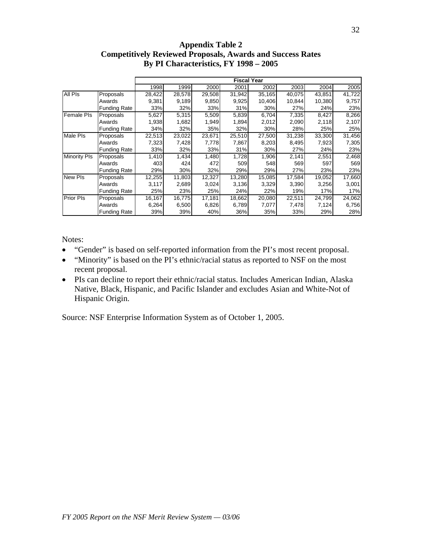## **Appendix Table 2 Competitively Reviewed Proposals, Awards and Success Rates By PI Characteristics, FY 1998 – 2005**

|                     |                     |        |        |        |        | <b>Fiscal Year</b> |        |        |        |
|---------------------|---------------------|--------|--------|--------|--------|--------------------|--------|--------|--------|
|                     |                     | 1998   | 1999   | 2000   | 2001   | 2002               | 2003   | 2004   | 2005   |
| All PIs             | Proposals           | 28,422 | 28,578 | 29,508 | 31,942 | 35,165             | 40,075 | 43,851 | 41,722 |
|                     | Awards              | 9,381  | 9,189  | 9,850  | 9,925  | 10,406             | 10,844 | 10,380 | 9,757  |
|                     | <b>Funding Rate</b> | 33%    | 32%    | 33%    | 31%    | 30%                | 27%    | 24%    | 23%    |
| <b>Female PIs</b>   | Proposals           | 5,627  | 5,315  | 5,509  | 5,839  | 6,704              | 7,335  | 8,427  | 8,266  |
|                     | Awards              | 1,938  | 1,682  | 1,949  | 1,894  | 2,012              | 2,090  | 2,118  | 2,107  |
|                     | <b>Funding Rate</b> | 34%    | 32%    | 35%    | 32%    | 30%                | 28%    | 25%    | 25%    |
| <b>Male PIs</b>     | Proposals           | 22,513 | 23,022 | 23,671 | 25,510 | 27,500             | 31,238 | 33,300 | 31,456 |
|                     | Awards              | 7,323  | 7,428  | 7,778  | 7,867  | 8,203              | 8,495  | 7,923  | 7,305  |
|                     | <b>Funding Rate</b> | 33%    | 32%    | 33%    | 31%    | 30%                | 27%    | 24%    | 23%    |
| <b>Minority PIs</b> | Proposals           | 1,410  | 1,434  | 1,480  | 1,728  | 1,906              | 2,141  | 2,551  | 2,468  |
|                     | Awards              | 403    | 424    | 472    | 509    | 548                | 569    | 597    | 569    |
|                     | <b>Funding Rate</b> | 29%    | 30%    | 32%    | 29%    | 29%                | 27%    | 23%    | 23%    |
| <b>New PIs</b>      | Proposals           | 12,255 | 11,803 | 12,327 | 13,280 | 15,085             | 17,584 | 19,052 | 17,660 |
|                     | Awards              | 3,117  | 2,689  | 3,024  | 3,136  | 3,329              | 3,390  | 3,256  | 3,001  |
|                     | <b>Funding Rate</b> | 25%    | 23%    | 25%    | 24%    | 22%                | 19%    | 17%    | 17%    |
| <b>Prior PIs</b>    | Proposals           | 16,167 | 16,775 | 17,181 | 18,662 | 20,080             | 22,511 | 24,799 | 24,062 |
|                     | Awards              | 6,264  | 6,500  | 6,826  | 6,789  | 7,077              | 7,478  | 7,124  | 6,756  |
|                     | <b>Funding Rate</b> | 39%    | 39%    | 40%    | 36%    | 35%                | 33%    | 29%    | 28%    |

Notes:

- "Gender" is based on self-reported information from the PI's most recent proposal.
- "Minority" is based on the PI's ethnic/racial status as reported to NSF on the most recent proposal.
- PIs can decline to report their ethnic/racial status. Includes American Indian, Alaska Native, Black, Hispanic, and Pacific Islander and excludes Asian and White-Not of Hispanic Origin.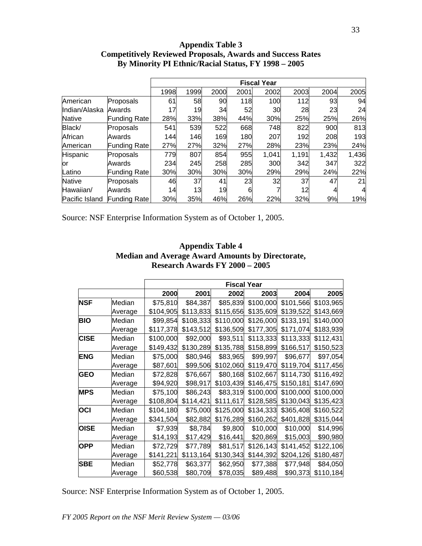#### **Appendix Table 3 Competitively Reviewed Proposals, Awards and Success Rates By Minority PI Ethnic/Racial Status, FY 1998 – 2005**

|                |                     |      |      |      |      | <b>Fiscal Year</b> |       |       |       |
|----------------|---------------------|------|------|------|------|--------------------|-------|-------|-------|
|                |                     | 1998 | 1999 | 2000 | 2001 | 2002               | 2003  | 2004  | 2005  |
| American       | Proposals           | 61   | 58   | 90   | 118  | 100                | 112   | 93    | 94    |
| Indian/Alaska  | Awards              | 17   | 19   | 34   | 52   | 30                 | 28    | 23    | 24    |
| <b>Native</b>  | Funding Rate        | 28%  | 33%  | 38%  | 44%  | 30%                | 25%   | 25%   | 26%   |
| Black/         | Proposals           | 541  | 539  | 522  | 668  | 748                | 822   | 900   | 813   |
| African        | Awards              | 144  | 146  | 169  | 180  | 207                | 192   | 208   | 193   |
| American       | <b>Funding Rate</b> | 27%  | 27%  | 32%  | 27%  | 28%                | 23%   | 23%   | 24%   |
| Hispanic       | Proposals           | 779  | 807  | 854  | 955  | 1,041              | 1,191 | 1,432 | 1,436 |
| or             | Awards              | 234  | 245  | 258  | 285  | 300                | 342   | 347   | 322   |
| Latino         | Funding Rate        | 30%  | 30%  | 30%  | 30%  | 29%                | 29%   | 24%   | 22%   |
| <b>Native</b>  | Proposals           | 46   | 37   | 41   | 23   | 32                 | 37    | 47    | 21    |
| Hawaiian/      | Awards              | 14   | 13   | 19   | 6    |                    | 12    |       |       |
| Pacific Island | <b>Funding Rate</b> | 30%  | 35%  | 46%  | 26%  | 22%                | 32%   | 9%    | 19%   |

Source: NSF Enterprise Information System as of October 1, 2005.

|             |         |           | <b>Fiscal Year</b> |           |                     |           |                    |
|-------------|---------|-----------|--------------------|-----------|---------------------|-----------|--------------------|
|             |         | 2000      | 2001               | 2002      | 2003                | 2004      | 2005               |
| <b>NSF</b>  | Median  | \$75,810  | \$84,387           | \$85,839  | \$100,000           | \$101,566 | \$103,965          |
|             | Average | \$104,905 | \$113,833          | \$115,656 | \$135,609           | \$139,522 | \$143,669          |
| <b>BIO</b>  | Median  | \$99,854  | \$108,333          | \$110,000 | \$126,000           | \$133,191 | \$140,000          |
|             | Average | \$117,378 | \$143,512          |           | \$136,509 \$177,305 | \$171,074 | \$183,939          |
| <b>CISE</b> | Median  | \$100,000 | \$92,000           | \$93,511  | \$113,333           | \$113,333 | \$112,431          |
|             | Average | \$149,432 | \$130,289          | \$135,788 | \$158,899           | \$166,517 | \$150,523          |
| <b>ENG</b>  | Median  | \$75,000  | \$80,946           | \$83,965  | \$99,997            | \$96,677  | \$97,054           |
|             | Average | \$87,601  | \$99,506           | \$102,060 | \$119,470           | \$119,704 | \$117,456          |
| <b>GEO</b>  | Median  | \$72,828  | \$76,667           | \$80,168  | \$102,667           | \$114,730 | \$116,492          |
|             | Average | \$94,920  | \$98,917           | \$103,439 | \$146,475           | \$150,181 | \$147,690          |
| <b>MPS</b>  | Median  | \$75,100  | \$86,243           | \$83,319  | \$100,000           | \$100,000 | \$100,000          |
|             | Average | \$108,804 | \$114,421          | \$111,617 | \$128,585           | \$130,043 | \$135,423          |
| OCI         | Median  | \$104,180 | \$75,000           | \$125,000 | \$134,333           | \$365,408 | \$160,522          |
|             | Average | \$341,504 | \$82,882           | \$176,289 | \$160,262           | \$401,828 | \$315,044          |
| <b>OISE</b> | Median  | \$7,939   | \$8,784            | \$9,800   | \$10,000            | \$10,000  | \$14,996           |
|             | Average | \$14,193  | \$17,429           | \$16,441  | \$20,869            | \$15,003  | \$90,980           |
| <b>OPP</b>  | Median  | \$72,729  | \$77,789           | \$81,517  | \$126,143           | \$141,452 | \$122,106          |
|             | Average | \$141,221 | \$113,164          | \$130,343 | \$144,392           | \$204,126 | \$180,487          |
| <b>SBE</b>  | Median  | \$52,778  | \$63,377           | \$62,950  | \$77,388            | \$77,948  | \$84,050           |
|             | Average | \$60,538  | \$80,709           | \$78,035  | \$89,488            |           | \$90,373 \$110,184 |

## **Appendix Table 4 Median and Average Award Amounts by Directorate, Research Awards FY 2000 – 2005**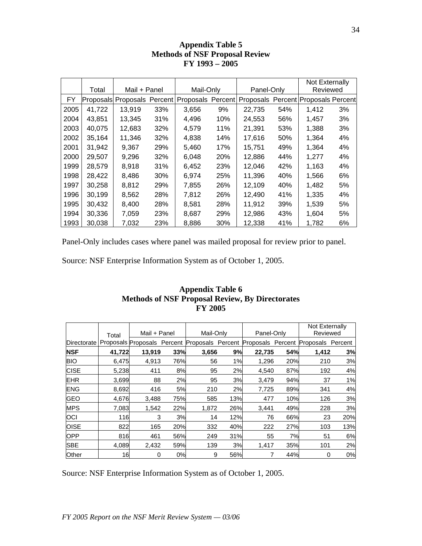|      |        |              |     |                                               |     |                                     |     | Not Externally |    |
|------|--------|--------------|-----|-----------------------------------------------|-----|-------------------------------------|-----|----------------|----|
|      | Total  | Mail + Panel |     | Mail-Only                                     |     | Panel-Only                          |     | Reviewed       |    |
| FY   |        |              |     | Proposals Proposals Percent Proposals Percent |     | Proposals Percent Proposals Percent |     |                |    |
| 2005 | 41,722 | 13.919       | 33% | 3,656                                         | 9%  | 22,735                              | 54% | 1,412          | 3% |
| 2004 | 43.851 | 13,345       | 31% | 4,496                                         | 10% | 24,553                              | 56% | 1,457          | 3% |
| 2003 | 40,075 | 12,683       | 32% | 4,579                                         | 11% | 21,391                              | 53% | 1,388          | 3% |
| 2002 | 35,164 | 11.346       | 32% | 4,838                                         | 14% | 17,616                              | 50% | 1,364          | 4% |
| 2001 | 31,942 | 9,367        | 29% | 5,460                                         | 17% | 15,751                              | 49% | 1,364          | 4% |
| 2000 | 29,507 | 9,296        | 32% | 6,048                                         | 20% | 12,886                              | 44% | 1.277          | 4% |
| 1999 | 28,579 | 8.918        | 31% | 6,452                                         | 23% | 12,046                              | 42% | 1,163          | 4% |
| 1998 | 28,422 | 8.486        | 30% | 6.974                                         | 25% | 11,396                              | 40% | 1,566          | 6% |
| 1997 | 30,258 | 8,812        | 29% | 7,855                                         | 26% | 12,109                              | 40% | 1,482          | 5% |
| 1996 | 30,199 | 8,562        | 28% | 7,812                                         | 26% | 12,490                              | 41% | 1,335          | 4% |
| 1995 | 30.432 | 8.400        | 28% | 8,581                                         | 28% | 11.912                              | 39% | 1,539          | 5% |
| 1994 | 30,336 | 7,059        | 23% | 8,687                                         | 29% | 12,986                              | 43% | 1,604          | 5% |
| 1993 | 30,038 | 7,032        | 23% | 8,886                                         | 30% | 12,338                              | 41% | 1,782          | 6% |

## **Appendix Table 5 Methods of NSF Proposal Review FY 1993 – 2005**

Panel-Only includes cases where panel was mailed proposal for review prior to panel.

Source: NSF Enterprise Information System as of October 1, 2005.

## **Appendix Table 6 Methods of NSF Proposal Review, By Directorates FY 2005**

|             | Total  | Mail + Panel |     | Mail-Only |     | Panel-Only                                                                        |     | Not Externally<br>Reviewed |     |
|-------------|--------|--------------|-----|-----------|-----|-----------------------------------------------------------------------------------|-----|----------------------------|-----|
| Directorate |        |              |     |           |     | Proposals Proposals Percent Proposals Percent Proposals Percent Proposals Percent |     |                            |     |
| <b>NSF</b>  | 41,722 | 13,919       | 33% | 3,656     | 9%  | 22,735                                                                            | 54% | 1.412                      | 3%  |
| <b>BIO</b>  | 6,475  | 4,913        | 76% | 56        | 1%  | 1,296                                                                             | 20% | 210                        | 3%  |
| <b>CISE</b> | 5,238  | 411          | 8%  | 95        | 2%  | 4,540                                                                             | 87% | 192                        | 4%  |
| <b>EHR</b>  | 3,699  | 88           | 2%  | 95        | 3%  | 3,479                                                                             | 94% | 37                         | 1%  |
| <b>ENG</b>  | 8,692  | 416          | 5%  | 210       | 2%  | 7,725                                                                             | 89% | 341                        | 4%  |
| <b>GEO</b>  | 4,676  | 3,488        | 75% | 585       | 13% | 477                                                                               | 10% | 126                        | 3%  |
| <b>MPS</b>  | 7,083  | 1.542        | 22% | 1,872     | 26% | 3,441                                                                             | 49% | 228                        | 3%  |
| <b>OCI</b>  | 116    | 3            | 3%  | 14        | 12% | 76                                                                                | 66% | 23                         | 20% |
| <b>OISE</b> | 822    | 165          | 20% | 332       | 40% | 222                                                                               | 27% | 103                        | 13% |
| <b>OPP</b>  | 816    | 461          | 56% | 249       | 31% | 55                                                                                | 7%  | 51                         | 6%  |
| <b>SBE</b>  | 4,089  | 2,432        | 59% | 139       | 3%  | 1,417                                                                             | 35% | 101                        | 2%  |
| Other       | 16     | 0            | 0%  | 9         | 56% |                                                                                   | 44% | 0                          | 0%  |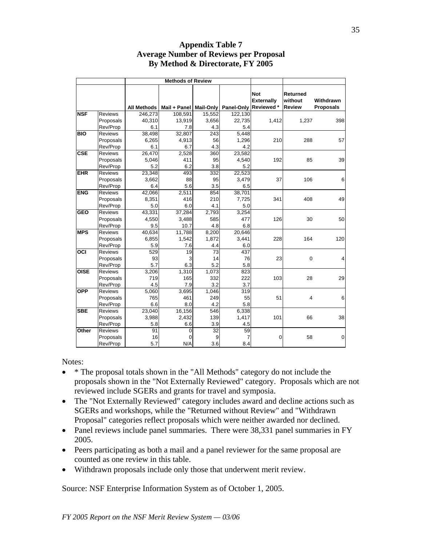|                  |                | <b>Methods of Review</b> |                          |        |            |                                              |                                             |                               |
|------------------|----------------|--------------------------|--------------------------|--------|------------|----------------------------------------------|---------------------------------------------|-------------------------------|
|                  |                | All Methods              | Mail + Panel   Mail-Only |        | Panel-Only | <b>Not</b><br><b>Externally</b><br>Reviewed* | <b>Returned</b><br>without<br><b>Review</b> | Withdrawn<br><b>Proposals</b> |
| <b>NSF</b>       | <b>Reviews</b> | 246,273                  | 108,591                  | 15,552 | 122,130    |                                              |                                             |                               |
|                  | Proposals      | 40,310                   | 13,919                   | 3,656  | 22,735     | 1,412                                        | 1,237                                       | 398                           |
|                  | Rev/Prop       | 6.1                      | 7.8                      | 4.3    | 5.4        |                                              |                                             |                               |
| $\overline{BIO}$ | <b>Reviews</b> | 38,498                   | 32,807                   | 243    | 5.448      |                                              |                                             |                               |
|                  | Proposals      | 6,265                    | 4,913                    | 56     | 1,296      | 210                                          | 288                                         | 57                            |
|                  | Rev/Prop       | 6.1                      | 6.7                      | 4.3    | 4.2        |                                              |                                             |                               |
| <b>CSE</b>       | <b>Reviews</b> | 26,470                   | 2,528                    | 360    | 23,582     |                                              |                                             |                               |
|                  | Proposals      | 5,046                    | 411                      | 95     | 4,540      | 192                                          | 85                                          | 39                            |
|                  | Rev/Prop       | 5.2                      | 6.2                      | 3.8    | 5.2        |                                              |                                             |                               |
| <b>EHR</b>       | <b>Reviews</b> | 23,348                   | 493                      | 332    | 22,523     |                                              |                                             |                               |
|                  | Proposals      | 3,662                    | 88                       | 95     | 3,479      | 37                                           | 106                                         | 6                             |
|                  | Rev/Prop       | 6.4                      | 5.6                      | 3.5    | 6.5        |                                              |                                             |                               |
| <b>ENG</b>       | <b>Reviews</b> | 42,066                   | 2.511                    | 854    | 38,701     |                                              |                                             |                               |
|                  | Proposals      | 8,351                    | 416                      | 210    | 7,725      | 341                                          | 408                                         | 49                            |
|                  | Rev/Prop       | 5.0                      | 6.0                      | 4.1    | 5.0        |                                              |                                             |                               |
| <b>GEO</b>       | <b>Reviews</b> | 43,331                   | 37,284                   | 2,793  | 3,254      |                                              |                                             |                               |
|                  | Proposals      | 4,550                    | 3,488                    | 585    | 477        | 126                                          | 30                                          | 50                            |
|                  | Rev/Prop       | 9.5                      | 10.7                     | 4.8    | 6.8        |                                              |                                             |                               |
| <b>MPS</b>       | Reviews        | 40,634                   | 11,788                   | 8,200  | 20,646     |                                              |                                             |                               |
|                  | Proposals      | 6,855                    | 1,542                    | 1,872  | 3,441      | 228                                          | 164                                         | 120                           |
|                  | Rev/Prop       | 5.9                      | 7.6                      | 4.4    | 6.0        |                                              |                                             |                               |
| OCI              | <b>Reviews</b> | 529                      | 19                       | 73     | 437        |                                              |                                             |                               |
|                  | Proposals      | 93                       | 3                        | 14     | 76         | 23                                           | $\overline{0}$                              | 4                             |
|                  | Rev/Prop       | 5.7                      | 6.3                      | 5.2    | 5.8        |                                              |                                             |                               |
| <b>OISE</b>      | <b>Reviews</b> | 3,206                    | 1,310                    | 1,073  | 823        |                                              |                                             |                               |
|                  | Proposals      | 719                      | 165                      | 332    | 222        | 103                                          | 28                                          | 29                            |
|                  | Rev/Prop       | 4.5                      | 7.9                      | 3.2    | 3.7        |                                              |                                             |                               |
| <b>OPP</b>       | <b>Reviews</b> | 5,060                    | 3,695                    | 1,046  | 319        |                                              |                                             |                               |
|                  | Proposals      | 765                      | 461                      | 249    | 55         | 51                                           | 4                                           | 6                             |
|                  | Rev/Prop       | 6.6                      | 8.0                      | 4.2    | 5.8        |                                              |                                             |                               |
| <b>SBE</b>       | Reviews        | 23,040                   | 16,156                   | 546    | 6,338      |                                              |                                             |                               |
|                  | Proposals      | 3,988                    | 2,432                    | 139    | 1,417      | 101                                          | 66                                          | 38                            |
|                  | Rev/Prop       | 5.8                      | 6.6                      | 3.9    | 4.5        |                                              |                                             |                               |
| Other            | <b>Reviews</b> | 91                       | 0                        | 32     | 59         |                                              |                                             |                               |
|                  | Proposals      | 16                       | 0                        | 9      | 7          | 0                                            | 58                                          | $\overline{0}$                |
|                  | Rev/Prop       | 5.7                      | N/A                      | 3.6    | 8.4        |                                              |                                             |                               |

## **Appendix Table 7 Average Number of Reviews per Proposal By Method & Directorate, FY 2005**

Notes:

- \* The proposal totals shown in the "All Methods" category do not include the proposals shown in the "Not Externally Reviewed" category. Proposals which are not reviewed include SGERs and grants for travel and symposia.
- The "Not Externally Reviewed" category includes award and decline actions such as SGERs and workshops, while the "Returned without Review" and "Withdrawn Proposal" categories reflect proposals which were neither awarded nor declined.
- Panel reviews include panel summaries. There were 38,331 panel summaries in FY 2005.
- Peers participating as both a mail and a panel reviewer for the same proposal are counted as one review in this table.
- Withdrawn proposals include only those that underwent merit review.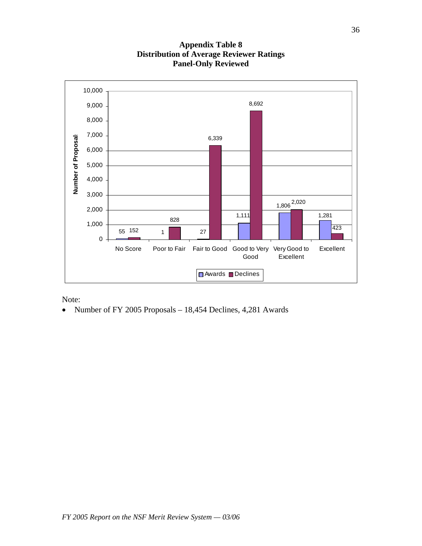

## **Appendix Table 8 Distribution of Average Reviewer Ratings Panel-Only Reviewed**

Note:

• Number of FY 2005 Proposals – 18,454 Declines, 4,281 Awards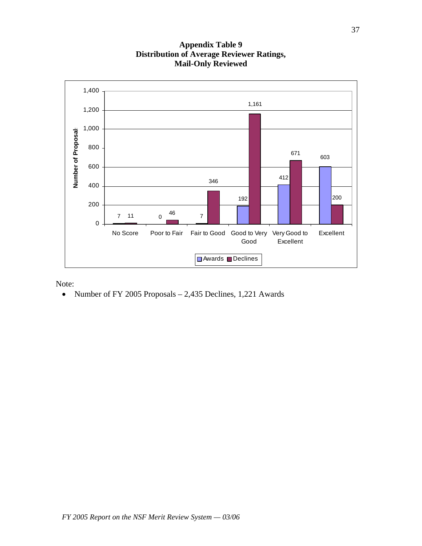

## **Appendix Table 9 Distribution of Average Reviewer Ratings, Mail-Only Reviewed**

Note:

• Number of FY 2005 Proposals – 2,435 Declines, 1,221 Awards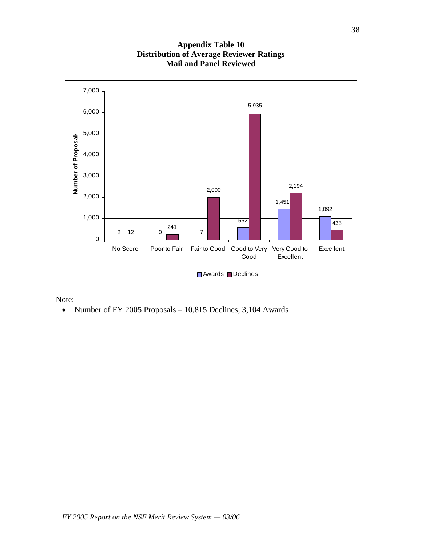

## **Appendix Table 10 Distribution of Average Reviewer Ratings Mail and Panel Reviewed**

Note:

• Number of FY 2005 Proposals – 10,815 Declines, 3,104 Awards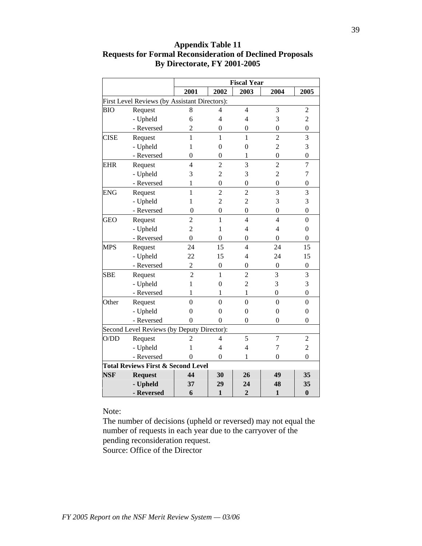|             |                                               |                |                  | <b>Fiscal Year</b> |                  |                  |
|-------------|-----------------------------------------------|----------------|------------------|--------------------|------------------|------------------|
|             |                                               | 2001           | 2002             | 2003               | 2004             | 2005             |
|             | First Level Reviews (by Assistant Directors): |                |                  |                    |                  |                  |
| <b>BIO</b>  | Request                                       | 8              | 4                | $\overline{4}$     | 3                | 2                |
|             | - Upheld                                      | 6              | 4                | $\overline{4}$     | 3                | $\overline{c}$   |
|             | - Reversed                                    | $\overline{c}$ | 0                | $\mathbf{0}$       | $\mathbf{0}$     | $\boldsymbol{0}$ |
| <b>CISE</b> | Request                                       | 1              | $\mathbf{1}$     | 1                  | $\overline{2}$   | 3                |
|             | - Upheld                                      | 1              | $\overline{0}$   | $\mathbf{0}$       | $\overline{c}$   | 3                |
|             | - Reversed                                    | $\overline{0}$ | $\overline{0}$   | 1                  | $\boldsymbol{0}$ | $\boldsymbol{0}$ |
| <b>EHR</b>  | Request                                       | $\overline{4}$ | $\overline{2}$   | 3                  | $\overline{2}$   | $\overline{7}$   |
|             | - Upheld                                      | 3              | $\overline{2}$   | 3                  | $\overline{2}$   | 7                |
|             | - Reversed                                    | 1              | $\boldsymbol{0}$ | $\overline{0}$     | $\boldsymbol{0}$ | $\boldsymbol{0}$ |
| <b>ENG</b>  | Request                                       | $\mathbf{1}$   | $\overline{c}$   | $\overline{c}$     | 3                | 3                |
|             | - Upheld                                      | 1              | $\overline{2}$   | $\overline{c}$     | 3                | 3                |
|             | - Reversed                                    | 0              | $\theta$         | $\overline{0}$     | $\theta$         | $\overline{0}$   |
| <b>GEO</b>  | Request                                       | 2              | $\mathbf{1}$     | $\overline{4}$     | $\overline{4}$   | $\mathbf{0}$     |
|             | - Upheld                                      | $\overline{2}$ | 1                | $\overline{4}$     | 4                | $\overline{0}$   |
|             | - Reversed                                    | $\theta$       | 0                | $\overline{0}$     | 0                | $\overline{0}$   |
| <b>MPS</b>  | Request                                       | 24             | 15               | $\overline{4}$     | 24               | 15               |
|             | - Upheld                                      | 22             | 15               | $\overline{4}$     | 24               | 15               |
|             | - Reversed                                    | $\overline{2}$ | $\mathbf{0}$     | $\boldsymbol{0}$   | $\mathbf{0}$     | $\mathbf{0}$     |
| <b>SBE</b>  | Request                                       | $\overline{2}$ | $\mathbf{1}$     | $\overline{2}$     | 3                | 3                |
|             | - Upheld                                      | 1              | 0                | $\overline{c}$     | 3                | 3                |
|             | - Reversed                                    | 1              | 1                | $\mathbf{1}$       | $\mathbf{0}$     | $\boldsymbol{0}$ |
| Other       | Request                                       | $\overline{0}$ | $\overline{0}$   | $\overline{0}$     | $\overline{0}$   | $\mathbf{0}$     |
|             | - Upheld                                      | 0              | $\theta$         | $\overline{0}$     | $\theta$         | $\mathbf{0}$     |
|             | - Reversed                                    | 0              | 0                | $\theta$           | $\theta$         | $\theta$         |
|             | Second Level Reviews (by Deputy Director):    |                |                  |                    |                  |                  |
| O/DD        | Request                                       | 2              | 4                | 5                  | $\overline{7}$   | $\overline{c}$   |
|             | - Upheld                                      | 1              | 4                | $\overline{4}$     | 7                | $\overline{c}$   |
|             | - Reversed                                    | 0              | 0                | 1                  | $\overline{0}$   | $\mathbf{0}$     |
|             | <b>Total Reviews First &amp; Second Level</b> |                |                  |                    |                  |                  |
| <b>NSF</b>  | <b>Request</b>                                | 44             | 30               | 26                 | 49               | 35               |
|             | - Upheld                                      | 37             | 29               | 24                 | 48               | 35               |
|             | - Reversed                                    | 6              | $\mathbf{1}$     | $\overline{2}$     | $\mathbf{1}$     | $\bf{0}$         |

## **Appendix Table 11 Requests for Formal Reconsideration of Declined Proposals By Directorate, FY 2001-2005**

Note:

The number of decisions (upheld or reversed) may not equal the number of requests in each year due to the carryover of the pending reconsideration request. Source: Office of the Director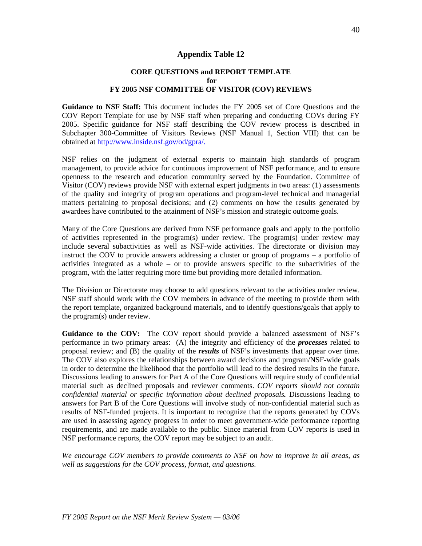#### **Appendix Table 12**

#### **CORE QUESTIONS and REPORT TEMPLATE for FY 2005 NSF COMMITTEE OF VISITOR (COV) REVIEWS**

**Guidance to NSF Staff:** This document includes the FY 2005 set of Core Questions and the COV Report Template for use by NSF staff when preparing and conducting COVs during FY 2005. Specific guidance for NSF staff describing the COV review process is described in Subchapter 300-Committee of Visitors Reviews (NSF Manual 1, Section VIII) that can be obtained at http://www.inside.nsf.gov/od/gpra/.

NSF relies on the judgment of external experts to maintain high standards of program management, to provide advice for continuous improvement of NSF performance, and to ensure openness to the research and education community served by the Foundation. Committee of Visitor (COV) reviews provide NSF with external expert judgments in two areas: (1) assessments of the quality and integrity of program operations and program-level technical and managerial matters pertaining to proposal decisions; and (2) comments on how the results generated by awardees have contributed to the attainment of NSF's mission and strategic outcome goals.

Many of the Core Questions are derived from NSF performance goals and apply to the portfolio of activities represented in the program(s) under review. The program(s) under review may include several subactivities as well as NSF-wide activities. The directorate or division may instruct the COV to provide answers addressing a cluster or group of programs – a portfolio of activities integrated as a whole – or to provide answers specific to the subactivities of the program, with the latter requiring more time but providing more detailed information.

The Division or Directorate may choose to add questions relevant to the activities under review. NSF staff should work with the COV members in advance of the meeting to provide them with the report template, organized background materials, and to identify questions/goals that apply to the program(s) under review.

Guidance to the COV: The COV report should provide a balanced assessment of NSF's performance in two primary areas: (A) the integrity and efficiency of the *processes* related to proposal review; and (B) the quality of the *results* of NSF's investments that appear over time. The COV also explores the relationships between award decisions and program/NSF-wide goals in order to determine the likelihood that the portfolio will lead to the desired results in the future. Discussions leading to answers for Part A of the Core Questions will require study of confidential material such as declined proposals and reviewer comments. *COV reports should not contain confidential material or specific information about declined proposals.* Discussions leading to answers for Part B of the Core Questions will involve study of non-confidential material such as results of NSF-funded projects. It is important to recognize that the reports generated by COVs are used in assessing agency progress in order to meet government-wide performance reporting requirements, and are made available to the public. Since material from COV reports is used in NSF performance reports, the COV report may be subject to an audit.

*We encourage COV members to provide comments to NSF on how to improve in all areas, as well as suggestions for the COV process, format, and questions.*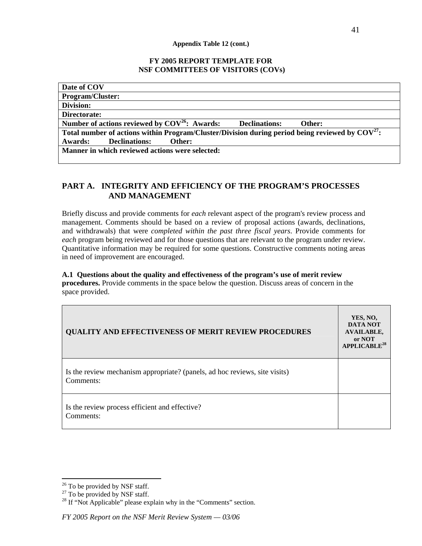#### **Appendix Table 12 (cont.)**

#### **FY 2005 REPORT TEMPLATE FOR NSF COMMITTEES OF VISITORS (COVs)**

| Date of COV                                                                                          |
|------------------------------------------------------------------------------------------------------|
| <b>Program/Cluster:</b>                                                                              |
| Division:                                                                                            |
| Directorate:                                                                                         |
| Number of actions reviewed by $COV^{26}$ : Awards:<br><b>Declinations:</b><br>Other:                 |
| Total number of actions within Program/Cluster/Division during period being reviewed by $COV^{27}$ : |
| <b>Awards:</b><br><b>Declinations:</b><br>Other:                                                     |
| Manner in which reviewed actions were selected:                                                      |
|                                                                                                      |

## **PART A. INTEGRITY AND EFFICIENCY OF THE PROGRAM'S PROCESSES AND MANAGEMENT**

Briefly discuss and provide comments for *each* relevant aspect of the program's review process and management. Comments should be based on a review of proposal actions (awards, declinations, and withdrawals) that were *completed within the past three fiscal years*. Provide comments for *each* program being reviewed and for those questions that are relevant to the program under review. Quantitative information may be required for some questions. Constructive comments noting areas in need of improvement are encouraged.

#### **A.1 Questions about the quality and effectiveness of the program's use of merit review procedures.** Provide comments in the space below the question. Discuss areas of concern in the

space provided.

| <b>QUALITY AND EFFECTIVENESS OF MERIT REVIEW PROCEDURES</b>                             | YES, NO,<br><b>DATA NOT</b><br><b>AVAILABLE,</b><br>or NOT<br>APPLICABLE <sup>28</sup> |
|-----------------------------------------------------------------------------------------|----------------------------------------------------------------------------------------|
| Is the review mechanism appropriate? (panels, ad hoc reviews, site visits)<br>Comments: |                                                                                        |
| Is the review process efficient and effective?<br>Comments:                             |                                                                                        |

<sup>&</sup>lt;sup>26</sup> To be provided by NSF staff.<br><sup>27</sup> To be provided by NSF staff.<br><sup>28</sup> If "Not Applicable" please explain why in the "Comments" section.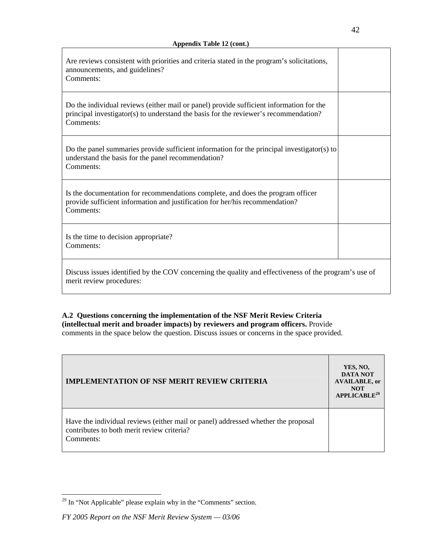| Are reviews consistent with priorities and criteria stated in the program's solicitations,<br>announcements, and guidelines?<br>Comments:                                                    |  |
|----------------------------------------------------------------------------------------------------------------------------------------------------------------------------------------------|--|
| Do the individual reviews (either mail or panel) provide sufficient information for the<br>principal investigator(s) to understand the basis for the reviewer's recommendation?<br>Comments: |  |
| Do the panel summaries provide sufficient information for the principal investigator(s) to<br>understand the basis for the panel recommendation?<br>Comments:                                |  |
| Is the documentation for recommendations complete, and does the program officer<br>provide sufficient information and justification for her/his recommendation?<br>Comments:                 |  |
| Is the time to decision appropriate?<br>Comments:                                                                                                                                            |  |
| Discuss issues identified by the COV concerning the quality and effectiveness of the program's use of<br>merit review procedures:                                                            |  |

#### **A.2 Questions concerning the implementation of the NSF Merit Review Criteria (intellectual merit and broader impacts) by reviewers and program officers.** Provide comments in the space below the question. Discuss issues or concerns in the space provided.

| <b>IMPLEMENTATION OF NSF MERIT REVIEW CRITERIA</b>                                                                                           | YES, NO,<br><b>DATA NOT</b><br><b>AVAILABLE, or</b><br><b>NOT</b><br>APPLICABLE <sup>29</sup> |
|----------------------------------------------------------------------------------------------------------------------------------------------|-----------------------------------------------------------------------------------------------|
| Have the individual reviews (either mail or panel) addressed whether the proposal<br>contributes to both merit review criteria?<br>Comments: |                                                                                               |

<sup>&</sup>lt;sup>29</sup> In "Not Applicable" please explain why in the "Comments" section.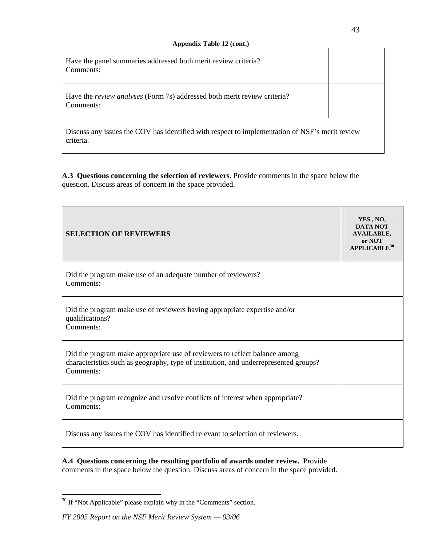| Have the panel summaries addressed both merit review criteria?<br>Comments:                                 |  |
|-------------------------------------------------------------------------------------------------------------|--|
| Have the <i>review analyses</i> (Form 7s) addressed both merit review criteria?<br>Comments:                |  |
| Discuss any issues the COV has identified with respect to implementation of NSF's merit review<br>criteria. |  |

**A.3 Questions concerning the selection of reviewers.** Provide comments in the space below the question. Discuss areas of concern in the space provided.

| <b>SELECTION OF REVIEWERS</b>                                                                                                                                                   | YES, NO,<br><b>DATA NOT</b><br><b>AVAILABLE,</b><br>or NOT<br>$APPLICABLE^{30}$ |
|---------------------------------------------------------------------------------------------------------------------------------------------------------------------------------|---------------------------------------------------------------------------------|
| Did the program make use of an adequate number of reviewers?<br>Comments:                                                                                                       |                                                                                 |
| Did the program make use of reviewers having appropriate expertise and/or<br>qualifications?<br>Comments:                                                                       |                                                                                 |
| Did the program make appropriate use of reviewers to reflect balance among<br>characteristics such as geography, type of institution, and underrepresented groups?<br>Comments: |                                                                                 |
| Did the program recognize and resolve conflicts of interest when appropriate?<br>Comments:                                                                                      |                                                                                 |
| Discuss any issues the COV has identified relevant to selection of reviewers.                                                                                                   |                                                                                 |

**A.4 Questions concerning the resulting portfolio of awards under review.** Provide comments in the space below the question. Discuss areas of concern in the space provided.

<sup>&</sup>lt;sup>30</sup> If "Not Applicable" please explain why in the "Comments" section.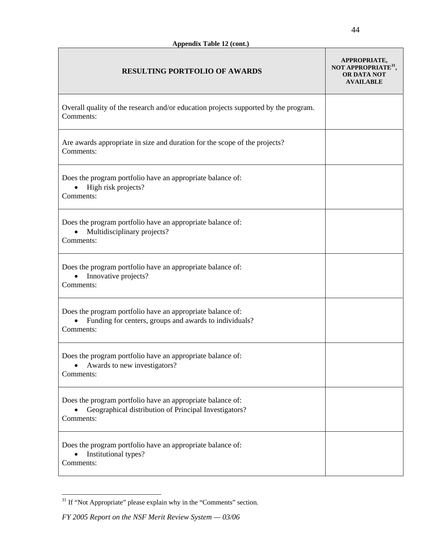| <b>RESULTING PORTFOLIO OF AWARDS</b>                                                                                              | APPROPRIATE,<br>NOT APPROPRIATE <sup>31</sup> ,<br>OR DATA NOT<br><b>AVAILABLE</b> |
|-----------------------------------------------------------------------------------------------------------------------------------|------------------------------------------------------------------------------------|
| Overall quality of the research and/or education projects supported by the program.<br>Comments:                                  |                                                                                    |
| Are awards appropriate in size and duration for the scope of the projects?<br>Comments:                                           |                                                                                    |
| Does the program portfolio have an appropriate balance of:<br>High risk projects?<br>Comments:                                    |                                                                                    |
| Does the program portfolio have an appropriate balance of:<br>Multidisciplinary projects?<br>$\bullet$<br>Comments:               |                                                                                    |
| Does the program portfolio have an appropriate balance of:<br>Innovative projects?<br>$\bullet$<br>Comments:                      |                                                                                    |
| Does the program portfolio have an appropriate balance of:<br>Funding for centers, groups and awards to individuals?<br>Comments: |                                                                                    |
| Does the program portfolio have an appropriate balance of:<br>Awards to new investigators?<br>Comments:                           |                                                                                    |
| Does the program portfolio have an appropriate balance of:<br>Geographical distribution of Principal Investigators?<br>Comments:  |                                                                                    |
| Does the program portfolio have an appropriate balance of:<br>Institutional types?<br>Comments:                                   |                                                                                    |

 $^{31}$  If "Not Appropriate" please explain why in the "Comments" section.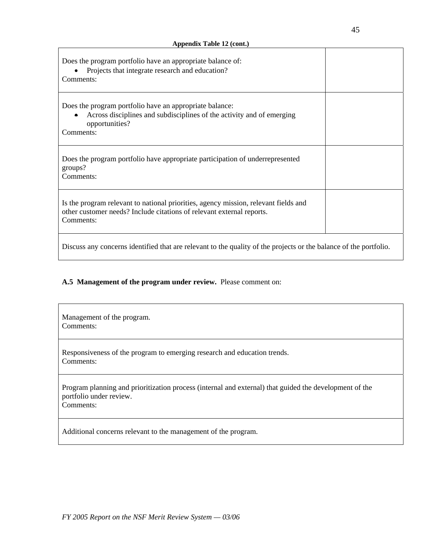$\mathbf{r}$ 

| Does the program portfolio have an appropriate balance of:<br>Projects that integrate research and education?<br>Comments:                                                |  |
|---------------------------------------------------------------------------------------------------------------------------------------------------------------------------|--|
| Does the program portfolio have an appropriate balance:<br>Across disciplines and subdisciplines of the activity and of emerging<br>opportunities?<br>Comments:           |  |
| Does the program portfolio have appropriate participation of underrepresented<br>groups?<br>Comments:                                                                     |  |
| Is the program relevant to national priorities, agency mission, relevant fields and<br>other customer needs? Include citations of relevant external reports.<br>Comments: |  |
| Discuss any concerns identified that are relevant to the quality of the projects or the balance of the portfolio.                                                         |  |

## **A.5 Management of the program under review.** Please comment on:

| Management of the program.<br>Comments:                                                                                                        |
|------------------------------------------------------------------------------------------------------------------------------------------------|
| Responsiveness of the program to emerging research and education trends.<br>Comments:                                                          |
| Program planning and prioritization process (internal and external) that guided the development of the<br>portfolio under review.<br>Comments: |
| Additional concerns relevant to the management of the program.                                                                                 |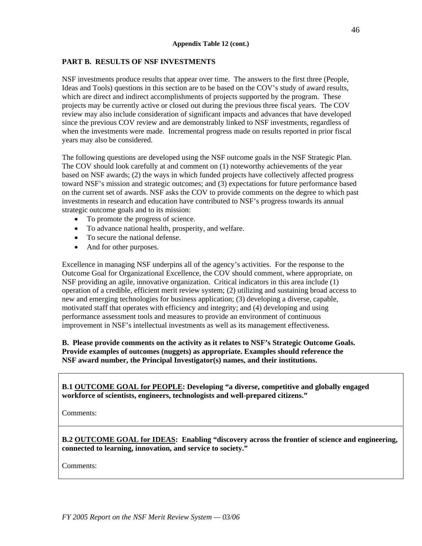#### **PART B. RESULTS OF NSF INVESTMENTS**

NSF investments produce results that appear over time. The answers to the first three (People, Ideas and Tools) questions in this section are to be based on the COV's study of award results, which are direct and indirect accomplishments of projects supported by the program. These projects may be currently active or closed out during the previous three fiscal years. The COV review may also include consideration of significant impacts and advances that have developed since the previous COV review and are demonstrably linked to NSF investments, regardless of when the investments were made. Incremental progress made on results reported in prior fiscal years may also be considered.

The following questions are developed using the NSF outcome goals in the NSF Strategic Plan. The COV should look carefully at and comment on (1) noteworthy achievements of the year based on NSF awards; (2) the ways in which funded projects have collectively affected progress toward NSF's mission and strategic outcomes; and (3) expectations for future performance based on the current set of awards. NSF asks the COV to provide comments on the degree to which past investments in research and education have contributed to NSF's progress towards its annual strategic outcome goals and to its mission:

- To promote the progress of science.
- To advance national health, prosperity, and welfare.
- To secure the national defense.
- And for other purposes.

Excellence in managing NSF underpins all of the agency's activities. For the response to the Outcome Goal for Organizational Excellence, the COV should comment, where appropriate, on NSF providing an agile, innovative organization. Critical indicators in this area include (1) operation of a credible, efficient merit review system; (2) utilizing and sustaining broad access to new and emerging technologies for business application; (3) developing a diverse, capable, motivated staff that operates with efficiency and integrity; and (4) developing and using performance assessment tools and measures to provide an environment of continuous improvement in NSF's intellectual investments as well as its management effectiveness.

#### **B. Please provide comments on the activity as it relates to NSF's Strategic Outcome Goals. Provide examples of outcomes (nuggets) as appropriate. Examples should reference the NSF award number, the Principal Investigator(s) names, and their institutions.**

**B.1 OUTCOME GOAL for PEOPLE: Developing "a diverse, competitive and globally engaged workforce of scientists, engineers, technologists and well-prepared citizens."** 

Comments:

**B.2 OUTCOME GOAL for IDEAS: Enabling "discovery across the frontier of science and engineering, connected to learning, innovation, and service to society."** 

Comments: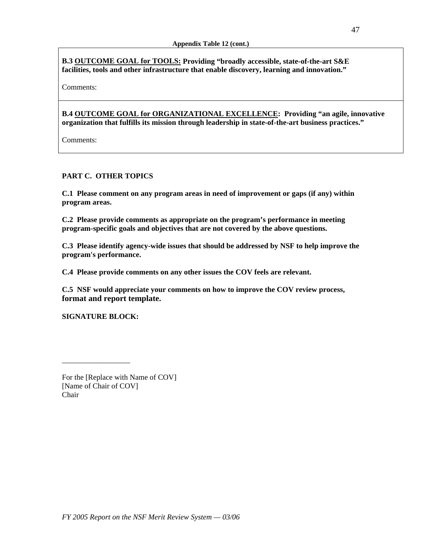**B.3 OUTCOME GOAL for TOOLS: Providing "broadly accessible, state-of-the-art S&E facilities, tools and other infrastructure that enable discovery, learning and innovation."** 

Comments:

**B.4 OUTCOME GOAL for ORGANIZATIONAL EXCELLENCE: Providing "an agile, innovative organization that fulfills its mission through leadership in state-of-the-art business practices."** 

Comments:

## **PART C. OTHER TOPICS**

**C.1 Please comment on any program areas in need of improvement or gaps (if any) within program areas.** 

**C.2 Please provide comments as appropriate on the program's performance in meeting program-specific goals and objectives that are not covered by the above questions.** 

**C.3 Please identify agency-wide issues that should be addressed by NSF to help improve the program's performance.** 

**C.4 Please provide comments on any other issues the COV feels are relevant.** 

**C.5 NSF would appreciate your comments on how to improve the COV review process, format and report template.** 

**SIGNATURE BLOCK:** 

\_\_\_\_\_\_\_\_\_\_\_\_\_\_\_\_\_\_

For the [Replace with Name of COV] [Name of Chair of COV] Chair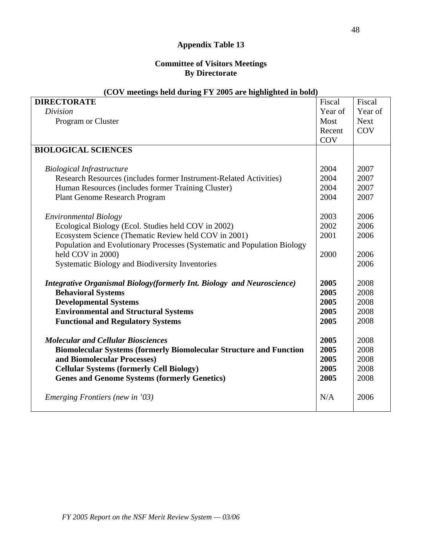## **Appendix Table 13**

## **Committee of Visitors Meetings By Directorate**

| $\overline{C}$ ( $\overline{C}$ ) incedings neig quring $\overline{r}$ is 2005 are ingimigrited in bold) |         |             |
|----------------------------------------------------------------------------------------------------------|---------|-------------|
| <b>DIRECTORATE</b>                                                                                       | Fiscal  | Fiscal      |
| Division                                                                                                 | Year of | Year of     |
| Program or Cluster                                                                                       | Most    | <b>Next</b> |
|                                                                                                          | Recent  | COV         |
|                                                                                                          | COV     |             |
| <b>BIOLOGICAL SCIENCES</b>                                                                               |         |             |
|                                                                                                          |         |             |
| <b>Biological Infrastructure</b>                                                                         | 2004    | 2007        |
| Research Resources (includes former Instrument-Related Activities)                                       | 2004    | 2007        |
| Human Resources (includes former Training Cluster)                                                       | 2004    | 2007        |
| <b>Plant Genome Research Program</b>                                                                     | 2004    | 2007        |
|                                                                                                          |         |             |
| <b>Environmental Biology</b>                                                                             | 2003    | 2006        |
| Ecological Biology (Ecol. Studies held COV in 2002)                                                      | 2002    | 2006        |
| Ecosystem Science (Thematic Review held COV in 2001)                                                     | 2001    | 2006        |
| Population and Evolutionary Processes (Systematic and Population Biology                                 |         |             |
| held COV in 2000)                                                                                        | 2000    | 2006        |
| Systematic Biology and Biodiversity Inventories                                                          |         | 2006        |
|                                                                                                          |         |             |
| Integrative Organismal Biology (formerly Int. Biology and Neuroscience)                                  | 2005    | 2008        |
| <b>Behavioral Systems</b>                                                                                | 2005    | 2008        |
| <b>Developmental Systems</b>                                                                             | 2005    | 2008        |
| <b>Environmental and Structural Systems</b>                                                              | 2005    | 2008        |
| <b>Functional and Regulatory Systems</b>                                                                 | 2005    | 2008        |
|                                                                                                          |         |             |
| <b>Molecular and Cellular Biosciences</b>                                                                | 2005    | 2008        |
| <b>Biomolecular Systems (formerly Biomolecular Structure and Function</b>                                | 2005    | 2008        |
| and Biomolecular Processes)                                                                              | 2005    | 2008        |
| <b>Cellular Systems (formerly Cell Biology)</b>                                                          | 2005    | 2008        |
| <b>Genes and Genome Systems (formerly Genetics)</b>                                                      | 2005    | 2008        |
|                                                                                                          |         |             |
| Emerging Frontiers (new in '03)                                                                          | N/A     | 2006        |
|                                                                                                          |         |             |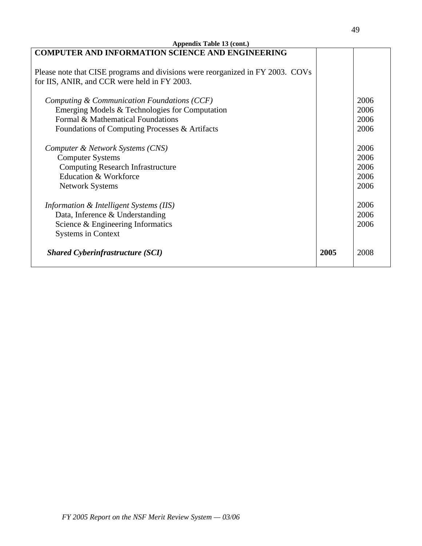| Appendix Table 13 (cont.)                                                      |      |      |  |
|--------------------------------------------------------------------------------|------|------|--|
| <b>COMPUTER AND INFORMATION SCIENCE AND ENGINEERING</b>                        |      |      |  |
|                                                                                |      |      |  |
| Please note that CISE programs and divisions were reorganized in FY 2003. COVs |      |      |  |
| for IIS, ANIR, and CCR were held in FY 2003.                                   |      |      |  |
|                                                                                |      |      |  |
| Computing & Communication Foundations (CCF)                                    |      | 2006 |  |
| Emerging Models & Technologies for Computation                                 |      | 2006 |  |
| Formal & Mathematical Foundations                                              |      | 2006 |  |
| Foundations of Computing Processes & Artifacts                                 |      | 2006 |  |
|                                                                                |      |      |  |
| Computer & Network Systems (CNS)                                               |      | 2006 |  |
| <b>Computer Systems</b>                                                        |      | 2006 |  |
| <b>Computing Research Infrastructure</b>                                       |      | 2006 |  |
| Education & Workforce                                                          |      | 2006 |  |
| <b>Network Systems</b>                                                         |      | 2006 |  |
|                                                                                |      |      |  |
| Information & Intelligent Systems (IIS)                                        |      | 2006 |  |
| Data, Inference & Understanding                                                |      | 2006 |  |
| Science & Engineering Informatics                                              |      | 2006 |  |
| <b>Systems in Context</b>                                                      |      |      |  |
|                                                                                |      |      |  |
| <b>Shared Cyberinfrastructure (SCI)</b>                                        | 2005 | 2008 |  |
|                                                                                |      |      |  |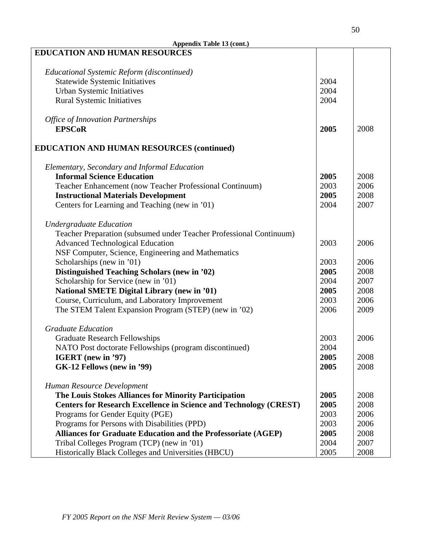| Appendix Table 13 (cont.)                                                |      |      |  |
|--------------------------------------------------------------------------|------|------|--|
| <b>EDUCATION AND HUMAN RESOURCES</b>                                     |      |      |  |
|                                                                          |      |      |  |
| Educational Systemic Reform (discontinued)                               |      |      |  |
| <b>Statewide Systemic Initiatives</b>                                    | 2004 |      |  |
| Urban Systemic Initiatives                                               | 2004 |      |  |
| <b>Rural Systemic Initiatives</b>                                        | 2004 |      |  |
|                                                                          |      |      |  |
| <b>Office of Innovation Partnerships</b>                                 |      |      |  |
| <b>EPSCoR</b>                                                            | 2005 | 2008 |  |
|                                                                          |      |      |  |
| <b>EDUCATION AND HUMAN RESOURCES (continued)</b>                         |      |      |  |
| Elementary, Secondary and Informal Education                             |      |      |  |
| <b>Informal Science Education</b>                                        | 2005 | 2008 |  |
| Teacher Enhancement (now Teacher Professional Continuum)                 | 2003 | 2006 |  |
| <b>Instructional Materials Development</b>                               | 2005 | 2008 |  |
| Centers for Learning and Teaching (new in '01)                           | 2004 | 2007 |  |
| <b>Undergraduate Education</b>                                           |      |      |  |
| Teacher Preparation (subsumed under Teacher Professional Continuum)      |      |      |  |
| <b>Advanced Technological Education</b>                                  | 2003 | 2006 |  |
| NSF Computer, Science, Engineering and Mathematics                       |      |      |  |
| Scholarships (new in '01)                                                | 2003 | 2006 |  |
| <b>Distinguished Teaching Scholars (new in '02)</b>                      | 2005 | 2008 |  |
| Scholarship for Service (new in '01)                                     | 2004 | 2007 |  |
| <b>National SMETE Digital Library (new in '01)</b>                       | 2005 | 2008 |  |
| Course, Curriculum, and Laboratory Improvement                           | 2003 | 2006 |  |
| The STEM Talent Expansion Program (STEP) (new in '02)                    | 2006 | 2009 |  |
|                                                                          |      |      |  |
| <b>Graduate Education</b>                                                |      |      |  |
| <b>Graduate Research Fellowships</b>                                     | 2003 | 2006 |  |
| NATO Post doctorate Fellowships (program discontinued)                   | 2004 |      |  |
| IGERT (new in '97)                                                       | 2005 | 2008 |  |
| GK-12 Fellows (new in '99)                                               | 2005 | 2008 |  |
|                                                                          |      |      |  |
| Human Resource Development                                               |      |      |  |
| The Louis Stokes Alliances for Minority Participation                    | 2005 | 2008 |  |
| <b>Centers for Research Excellence in Science and Technology (CREST)</b> | 2005 | 2008 |  |
| Programs for Gender Equity (PGE)                                         | 2003 | 2006 |  |
| Programs for Persons with Disabilities (PPD)                             | 2003 | 2006 |  |
| Alliances for Graduate Education and the Professoriate (AGEP)            | 2005 | 2008 |  |
| Tribal Colleges Program (TCP) (new in '01)                               | 2004 | 2007 |  |
| Historically Black Colleges and Universities (HBCU)                      | 2005 | 2008 |  |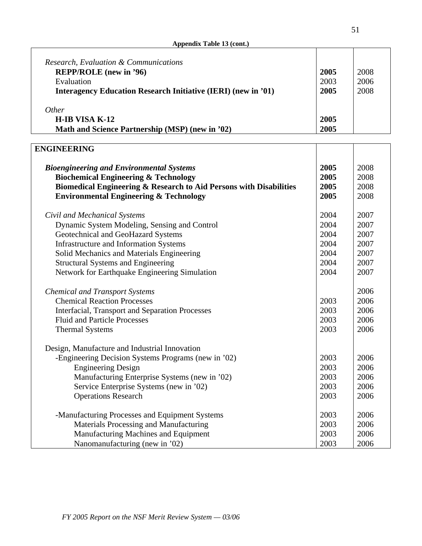| Appendix Table 13 (cont.) |  |  |
|---------------------------|--|--|
|                           |  |  |

| Research, Evaluation & Communications<br><b>REPP/ROLE</b> (new in '96) | 2005 | 2008 |
|------------------------------------------------------------------------|------|------|
| Evaluation                                                             | 2003 | 2006 |
| Interagency Education Research Initiative (IERI) (new in '01)          | 2005 | 2008 |
| Other                                                                  |      |      |
| H-IB VISA K-12                                                         | 2005 |      |
| Math and Science Partnership (MSP) (new in '02)                        | 2005 |      |

| <b>ENGINEERING</b>                                                                                                      |                      |                      |
|-------------------------------------------------------------------------------------------------------------------------|----------------------|----------------------|
| <b>Bioengineering and Environmental Systems</b><br><b>Biochemical Engineering &amp; Technology</b>                      | 2005<br>2005<br>2005 | 2008<br>2008<br>2008 |
| Biomedical Engineering & Research to Aid Persons with Disabilities<br><b>Environmental Engineering &amp; Technology</b> | 2005                 | 2008                 |
|                                                                                                                         |                      |                      |
| Civil and Mechanical Systems                                                                                            | 2004                 | 2007                 |
| Dynamic System Modeling, Sensing and Control                                                                            | 2004                 | 2007                 |
| Geotechnical and GeoHazard Systems                                                                                      | 2004                 | 2007                 |
| <b>Infrastructure and Information Systems</b>                                                                           | 2004                 | 2007                 |
| Solid Mechanics and Materials Engineering                                                                               | 2004                 | 2007                 |
| <b>Structural Systems and Engineering</b>                                                                               | 2004                 | 2007                 |
| Network for Earthquake Engineering Simulation                                                                           | 2004                 | 2007                 |
| <b>Chemical and Transport Systems</b>                                                                                   |                      | 2006                 |
| <b>Chemical Reaction Processes</b>                                                                                      | 2003                 | 2006                 |
| <b>Interfacial, Transport and Separation Processes</b>                                                                  | 2003                 | 2006                 |
| <b>Fluid and Particle Processes</b>                                                                                     | 2003                 | 2006                 |
| <b>Thermal Systems</b>                                                                                                  | 2003                 | 2006                 |
| Design, Manufacture and Industrial Innovation                                                                           |                      |                      |
| -Engineering Decision Systems Programs (new in '02)                                                                     | 2003                 | 2006                 |
| <b>Engineering Design</b>                                                                                               | 2003                 | 2006                 |
| Manufacturing Enterprise Systems (new in '02)                                                                           | 2003                 | 2006                 |
| Service Enterprise Systems (new in '02)                                                                                 | 2003                 | 2006                 |
| <b>Operations Research</b>                                                                                              | 2003                 | 2006                 |
|                                                                                                                         |                      |                      |
| -Manufacturing Processes and Equipment Systems                                                                          | 2003                 | 2006                 |
| Materials Processing and Manufacturing                                                                                  | 2003                 | 2006                 |
| Manufacturing Machines and Equipment                                                                                    | 2003                 | 2006                 |
| Nanomanufacturing (new in '02)                                                                                          | 2003                 | 2006                 |

51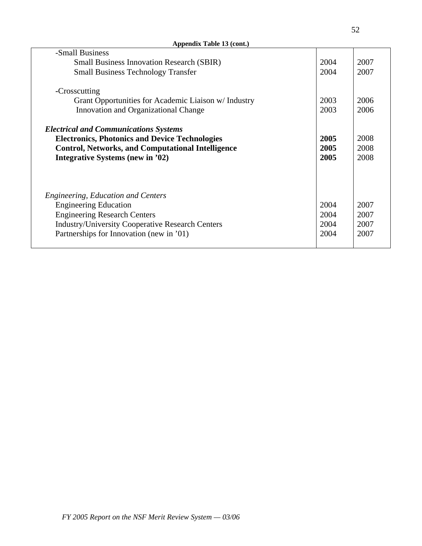| Appendix Table 13 (cont.)                                |      |      |
|----------------------------------------------------------|------|------|
| -Small Business                                          |      |      |
| <b>Small Business Innovation Research (SBIR)</b>         | 2004 | 2007 |
| <b>Small Business Technology Transfer</b>                | 2004 | 2007 |
| -Crosscutting                                            |      |      |
| Grant Opportunities for Academic Liaison w/ Industry     | 2003 | 2006 |
| Innovation and Organizational Change                     | 2003 | 2006 |
| <b>Electrical and Communications Systems</b>             |      |      |
| <b>Electronics, Photonics and Device Technologies</b>    | 2005 | 2008 |
| <b>Control, Networks, and Computational Intelligence</b> | 2005 | 2008 |
| Integrative Systems (new in '02)                         | 2005 | 2008 |
|                                                          |      |      |
| <b>Engineering, Education and Centers</b>                |      |      |
| <b>Engineering Education</b>                             | 2004 | 2007 |
| <b>Engineering Research Centers</b>                      | 2004 | 2007 |
| <b>Industry/University Cooperative Research Centers</b>  | 2004 | 2007 |
| Partnerships for Innovation (new in '01)                 | 2004 | 2007 |
|                                                          |      |      |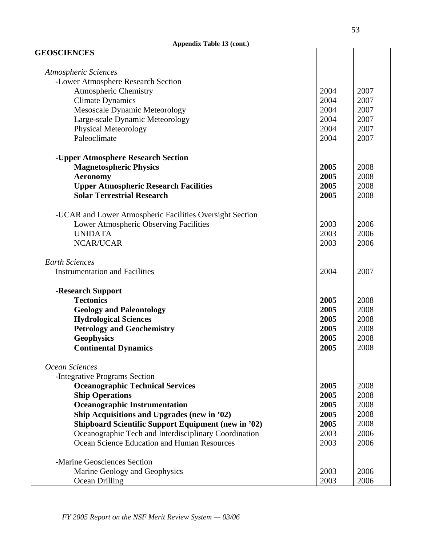| <b>GEOSCIENCES</b>                                         |      |      |
|------------------------------------------------------------|------|------|
| Atmospheric Sciences                                       |      |      |
| -Lower Atmosphere Research Section                         |      |      |
| <b>Atmospheric Chemistry</b>                               | 2004 | 2007 |
| <b>Climate Dynamics</b>                                    | 2004 | 2007 |
| Mesoscale Dynamic Meteorology                              | 2004 | 2007 |
| Large-scale Dynamic Meteorology                            | 2004 | 2007 |
| <b>Physical Meteorology</b>                                | 2004 | 2007 |
| Paleoclimate                                               | 2004 | 2007 |
|                                                            |      |      |
| -Upper Atmosphere Research Section                         |      |      |
| <b>Magnetospheric Physics</b>                              | 2005 | 2008 |
| <b>Aeronomy</b>                                            | 2005 | 2008 |
| <b>Upper Atmospheric Research Facilities</b>               | 2005 | 2008 |
| <b>Solar Terrestrial Research</b>                          | 2005 | 2008 |
|                                                            |      |      |
| -UCAR and Lower Atmospheric Facilities Oversight Section   |      |      |
| Lower Atmospheric Observing Facilities                     | 2003 | 2006 |
| <b>UNIDATA</b>                                             | 2003 | 2006 |
| <b>NCAR/UCAR</b>                                           | 2003 | 2006 |
| <b>Earth Sciences</b>                                      |      |      |
| <b>Instrumentation and Facilities</b>                      | 2004 | 2007 |
|                                                            |      |      |
| -Research Support                                          |      |      |
| <b>Tectonics</b>                                           | 2005 | 2008 |
| <b>Geology and Paleontology</b>                            | 2005 | 2008 |
| <b>Hydrological Sciences</b>                               | 2005 | 2008 |
| <b>Petrology and Geochemistry</b>                          | 2005 | 2008 |
| <b>Geophysics</b>                                          | 2005 | 2008 |
| <b>Continental Dynamics</b>                                | 2005 | 2008 |
|                                                            |      |      |
| Ocean Sciences                                             |      |      |
| -Integrative Programs Section                              |      |      |
| <b>Oceanographic Technical Services</b>                    | 2005 | 2008 |
| <b>Ship Operations</b>                                     | 2005 | 2008 |
| <b>Oceanographic Instrumentation</b>                       | 2005 | 2008 |
| Ship Acquisitions and Upgrades (new in '02)                | 2005 | 2008 |
| <b>Shipboard Scientific Support Equipment (new in '02)</b> | 2005 | 2008 |
| Oceanographic Tech and Interdisciplinary Coordination      | 2003 | 2006 |
| Ocean Science Education and Human Resources                | 2003 | 2006 |
| -Marine Geosciences Section                                |      |      |
| Marine Geology and Geophysics                              | 2003 | 2006 |
| Ocean Drilling                                             | 2003 | 2006 |
|                                                            |      |      |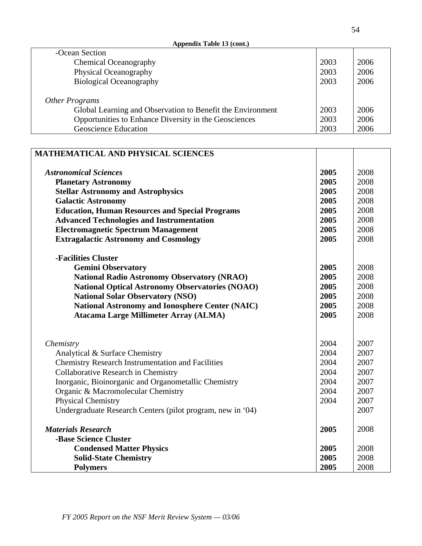**Appendix Table 13 (cont.)**

| -Ocean Section                                             |      |      |
|------------------------------------------------------------|------|------|
| <b>Chemical Oceanography</b>                               | 2003 | 2006 |
| Physical Oceanography                                      | 2003 | 2006 |
| <b>Biological Oceanography</b>                             | 2003 | 2006 |
|                                                            |      |      |
| Other Programs                                             |      |      |
| Global Learning and Observation to Benefit the Environment | 2003 | 2006 |
| Opportunities to Enhance Diversity in the Geosciences      | 2003 | 2006 |
| <b>Geoscience Education</b>                                | 2003 | 2006 |

| MATHEMATICAL AND PHYSICAL SCIENCES                                                         |      |      |
|--------------------------------------------------------------------------------------------|------|------|
| <b>Astronomical Sciences</b>                                                               | 2005 | 2008 |
| <b>Planetary Astronomy</b>                                                                 | 2005 | 2008 |
| <b>Stellar Astronomy and Astrophysics</b>                                                  | 2005 | 2008 |
| <b>Galactic Astronomy</b>                                                                  | 2005 | 2008 |
| <b>Education, Human Resources and Special Programs</b>                                     | 2005 | 2008 |
| <b>Advanced Technologies and Instrumentation</b>                                           | 2005 | 2008 |
| <b>Electromagnetic Spectrum Management</b>                                                 | 2005 | 2008 |
| <b>Extragalactic Astronomy and Cosmology</b>                                               | 2005 | 2008 |
|                                                                                            |      |      |
| -Facilities Cluster                                                                        |      |      |
| <b>Gemini Observatory</b>                                                                  | 2005 | 2008 |
| <b>National Radio Astronomy Observatory (NRAO)</b>                                         | 2005 | 2008 |
| <b>National Optical Astronomy Observatories (NOAO)</b>                                     | 2005 | 2008 |
| <b>National Solar Observatory (NSO)</b>                                                    | 2005 | 2008 |
| <b>National Astronomy and Ionosphere Center (NAIC)</b>                                     | 2005 | 2008 |
| <b>Atacama Large Millimeter Array (ALMA)</b>                                               | 2005 | 2008 |
|                                                                                            |      |      |
|                                                                                            | 2004 | 2007 |
| Chemistry                                                                                  | 2004 | 2007 |
| Analytical & Surface Chemistry<br><b>Chemistry Research Instrumentation and Facilities</b> | 2004 | 2007 |
| Collaborative Research in Chemistry                                                        | 2004 | 2007 |
| Inorganic, Bioinorganic and Organometallic Chemistry                                       | 2004 | 2007 |
| Organic & Macromolecular Chemistry                                                         | 2004 | 2007 |
| <b>Physical Chemistry</b>                                                                  | 2004 | 2007 |
| Undergraduate Research Centers (pilot program, new in '04)                                 |      | 2007 |
|                                                                                            |      |      |
| <b>Materials Research</b>                                                                  | 2005 | 2008 |
| -Base Science Cluster                                                                      |      |      |
| <b>Condensed Matter Physics</b>                                                            | 2005 | 2008 |
| <b>Solid-State Chemistry</b>                                                               | 2005 | 2008 |
| <b>Polymers</b>                                                                            | 2005 | 2008 |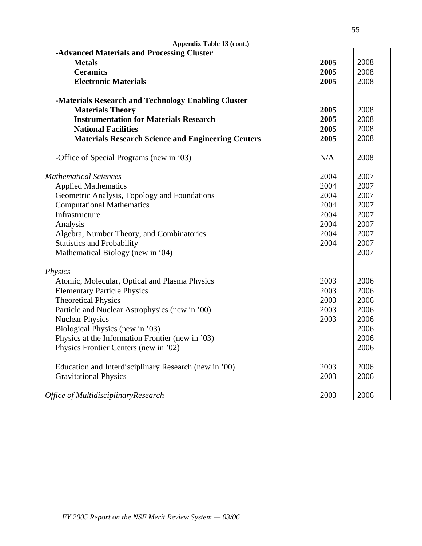| Appendix Table 13 (cont.)                                 |      |      |
|-----------------------------------------------------------|------|------|
| -Advanced Materials and Processing Cluster                |      |      |
| <b>Metals</b>                                             | 2005 | 2008 |
| <b>Ceramics</b>                                           | 2005 | 2008 |
| <b>Electronic Materials</b>                               | 2005 | 2008 |
| -Materials Research and Technology Enabling Cluster       |      |      |
| <b>Materials Theory</b>                                   | 2005 | 2008 |
| <b>Instrumentation for Materials Research</b>             | 2005 | 2008 |
| <b>National Facilities</b>                                | 2005 | 2008 |
| <b>Materials Research Science and Engineering Centers</b> | 2005 | 2008 |
| -Office of Special Programs (new in '03)                  | N/A  | 2008 |
| <b>Mathematical Sciences</b>                              | 2004 | 2007 |
| <b>Applied Mathematics</b>                                | 2004 | 2007 |
| Geometric Analysis, Topology and Foundations              | 2004 | 2007 |
| <b>Computational Mathematics</b>                          | 2004 | 2007 |
| Infrastructure                                            | 2004 | 2007 |
| Analysis                                                  | 2004 | 2007 |
| Algebra, Number Theory, and Combinatorics                 |      | 2007 |
| <b>Statistics and Probability</b>                         |      | 2007 |
| Mathematical Biology (new in '04)                         |      | 2007 |
| Physics                                                   |      |      |
| Atomic, Molecular, Optical and Plasma Physics             | 2003 | 2006 |
| <b>Elementary Particle Physics</b>                        | 2003 | 2006 |
| <b>Theoretical Physics</b>                                | 2003 | 2006 |
| Particle and Nuclear Astrophysics (new in '00)            | 2003 | 2006 |
| <b>Nuclear Physics</b>                                    | 2003 | 2006 |
| Biological Physics (new in '03)                           |      | 2006 |
| Physics at the Information Frontier (new in '03)          |      | 2006 |
| Physics Frontier Centers (new in '02)                     |      | 2006 |
| Education and Interdisciplinary Research (new in '00)     | 2003 | 2006 |
| <b>Gravitational Physics</b>                              | 2003 | 2006 |
| Office of MultidisciplinaryResearch                       | 2003 | 2006 |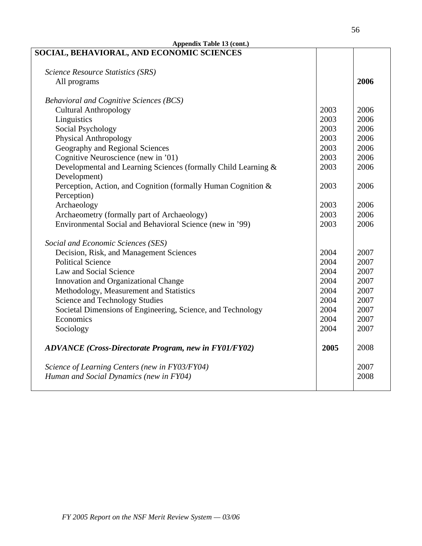| Appendix Table 13 (cont.)                                      |      |      |  |
|----------------------------------------------------------------|------|------|--|
| SOCIAL, BEHAVIORAL, AND ECONOMIC SCIENCES                      |      |      |  |
|                                                                |      |      |  |
| Science Resource Statistics (SRS)                              |      |      |  |
| All programs                                                   |      | 2006 |  |
|                                                                |      |      |  |
| <b>Behavioral and Cognitive Sciences (BCS)</b>                 |      |      |  |
| <b>Cultural Anthropology</b>                                   | 2003 | 2006 |  |
| Linguistics                                                    | 2003 | 2006 |  |
| <b>Social Psychology</b>                                       | 2003 | 2006 |  |
| <b>Physical Anthropology</b>                                   | 2003 | 2006 |  |
| Geography and Regional Sciences                                | 2003 | 2006 |  |
| Cognitive Neuroscience (new in '01)                            | 2003 | 2006 |  |
| Developmental and Learning Sciences (formally Child Learning & | 2003 | 2006 |  |
| Development)                                                   |      |      |  |
| Perception, Action, and Cognition (formally Human Cognition &  | 2003 | 2006 |  |
| Perception)                                                    |      |      |  |
| Archaeology                                                    | 2003 | 2006 |  |
| Archaeometry (formally part of Archaeology)                    | 2003 | 2006 |  |
| Environmental Social and Behavioral Science (new in '99)       | 2003 | 2006 |  |
| Social and Economic Sciences (SES)                             |      |      |  |
| Decision, Risk, and Management Sciences                        |      | 2007 |  |
| <b>Political Science</b>                                       |      | 2007 |  |
| Law and Social Science                                         |      | 2007 |  |
| Innovation and Organizational Change                           |      | 2007 |  |
| Methodology, Measurement and Statistics                        |      | 2007 |  |
| <b>Science and Technology Studies</b>                          | 2004 | 2007 |  |
| Societal Dimensions of Engineering, Science, and Technology    | 2004 | 2007 |  |
| Economics                                                      | 2004 | 2007 |  |
| Sociology                                                      | 2004 | 2007 |  |
|                                                                |      |      |  |
| <b>ADVANCE</b> (Cross-Directorate Program, new in FY01/FY02)   | 2005 | 2008 |  |
| Science of Learning Centers (new in FY03/FY04)                 |      | 2007 |  |
| Human and Social Dynamics (new in FY04)                        |      | 2008 |  |
|                                                                |      |      |  |
|                                                                |      |      |  |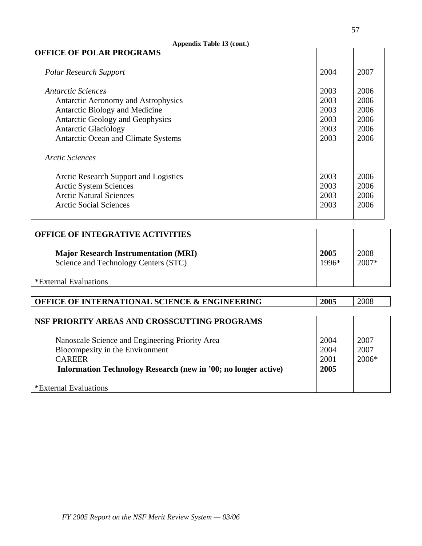| Appendix Table 13 (cont.)                    |      |      |
|----------------------------------------------|------|------|
| <b>OFFICE OF POLAR PROGRAMS</b>              |      |      |
| <b>Polar Research Support</b>                | 2004 | 2007 |
| <i>Antarctic Sciences</i>                    | 2003 | 2006 |
| Antarctic Aeronomy and Astrophysics          | 2003 | 2006 |
| Antarctic Biology and Medicine               | 2003 | 2006 |
| Antarctic Geology and Geophysics             | 2003 | 2006 |
| <b>Antarctic Glaciology</b>                  | 2003 | 2006 |
| Antarctic Ocean and Climate Systems          |      | 2006 |
| <b>Arctic Sciences</b>                       |      |      |
| <b>Arctic Research Support and Logistics</b> | 2003 | 2006 |
| <b>Arctic System Sciences</b>                | 2003 | 2006 |
| <b>Arctic Natural Sciences</b>               | 2003 | 2006 |
| <b>Arctic Social Sciences</b>                | 2003 | 2006 |
|                                              |      |      |

| <b>OFFICE OF INTEGRATIVE ACTIVITIES</b>                                             |               |               |
|-------------------------------------------------------------------------------------|---------------|---------------|
| <b>Major Research Instrumentation (MRI)</b><br>Science and Technology Centers (STC) | 2005<br>1996* | 2008<br>2007* |
| *External Evaluations                                                               |               |               |

| OFFICE OF INTERNATIONAL SCIENCE & ENGINEERING                  | 2005 | 2008    |
|----------------------------------------------------------------|------|---------|
|                                                                |      |         |
| NSF PRIORITY AREAS AND CROSSCUTTING PROGRAMS                   |      |         |
|                                                                |      |         |
| Nanoscale Science and Engineering Priority Area                | 2004 | 2007    |
| Biocompexity in the Environment                                | 2004 | 2007    |
| <b>CAREER</b>                                                  | 2001 | $2006*$ |
| Information Technology Research (new in '00; no longer active) | 2005 |         |
|                                                                |      |         |
| <i>*</i> External Evaluations                                  |      |         |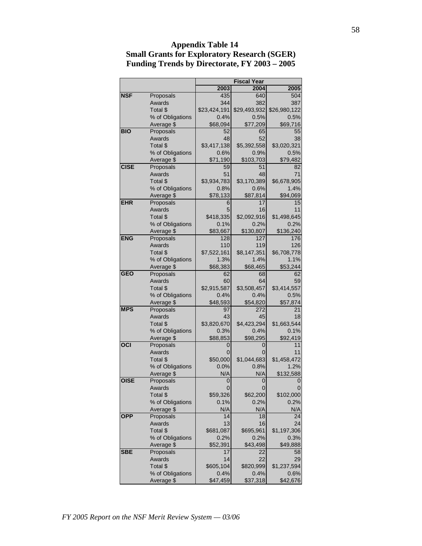|             |                                | <b>Fiscal Year</b> |                 |                     |
|-------------|--------------------------------|--------------------|-----------------|---------------------|
|             |                                | 2003               | 2004            | 2005                |
| <b>NSF</b>  | Proposals                      | 435                | 640             | 504                 |
|             | Awards                         | 344                | 382             | 387                 |
|             | Total \$                       | \$23,424,191       | \$29,493,932    | \$26,980,122        |
|             | % of Obligations               | 0.4%               | 0.5%            | 0.5%                |
|             | Average \$                     | \$68,094           | \$77,209        | \$69,716            |
| <b>BIO</b>  | Proposals                      | 52                 | 65              | 55                  |
|             | Awards                         | 48                 | 52              | 38                  |
|             | Total \$                       | \$3,417,138        | \$5,392,558     | \$3,020,321         |
|             | % of Obligations               | 0.6%               | 0.9%            | 0.5%                |
|             | Average \$                     | \$71,190           | \$103,703       | \$79,482            |
| <b>CISE</b> | Proposals                      | 59                 | 51              | 82                  |
|             | Awards                         | 51                 | 48              | 71                  |
|             | Total \$                       | \$3,934,783        | \$3,170,389     | \$6,678,905         |
|             | % of Obligations               | 0.8%               | 0.6%            | 1.4%                |
|             | Average \$                     | \$78,133           | \$87,814        | \$94,069            |
| <b>EHR</b>  | Proposals                      | 6                  | 17              | 15                  |
|             | Awards                         | 5                  | 16              | 11                  |
|             | Total \$                       | \$418,335          | \$2,092,916     | \$1,498,645         |
|             | % of Obligations               | 0.1%               | 0.2%            | 0.2%                |
|             | Average \$                     | \$83,667           | \$130,807       | \$136,240           |
| <b>ENG</b>  | Proposals                      | 128                | 127             | 176                 |
|             | Awards                         | 110                | 119             | 126                 |
|             | Total \$                       | \$7,522,161        | \$8,147,351     | \$6,708,778         |
|             | % of Obligations               | 1.3%               | 1.4%            | 1.1%                |
|             | Average \$                     | \$68,383           | \$68,465        | \$53,244            |
| <b>GEO</b>  | Proposals                      | 62                 | 68              | 62                  |
|             | Awards                         | 60                 | 64              | 59                  |
|             | Total \$                       | \$2,915,587        | \$3,508,457     | \$3,414,557<br>0.5% |
|             | % of Obligations<br>Average \$ | 0.4%               | 0.4%            |                     |
| <b>MPS</b>  | Proposals                      | \$48,593<br>97     | \$54,820<br>272 | \$57,874<br>21      |
|             | Awards                         | 43                 | 45              | 18                  |
|             | Total \$                       | \$3,820,670        | \$4,423,294     | \$1,663,544         |
|             | % of Obligations               | 0.3%               | 0.4%            | 0.1%                |
|             | Average \$                     | \$88,853           | \$98,295        | \$92,419            |
| OCI         | Proposals                      | 0                  | 0               | 11                  |
|             | Awards                         | 0                  | 0               | 11                  |
|             | Total \$                       | \$50,000           | \$1,044,683     | \$1,458,472         |
|             | % of Obligations               | 0.0%               | 0.8%            | 1.2%                |
|             | Average \$                     | N/A                | N/A             | \$132,588           |
| <b>OISE</b> | Proposals                      | 0                  | 0               |                     |
|             | Awards                         | U                  | U               | U                   |
|             | Total \$                       | \$59,326           | \$62,200        | \$102,000           |
|             | % of Obligations               | 0.1%               | 0.2%            | 0.2%                |
|             | Average \$                     | N/A                | N/A             | N/A                 |
| <b>OPP</b>  | Proposals                      | 14                 | 18              | 24                  |
|             | Awards                         | 13                 | 16              | 24                  |
|             | Total \$                       | \$681,087          | \$695,961       | \$1,197,306         |
|             | % of Obligations               | 0.2%               | 0.2%            | 0.3%                |
|             | Average \$                     | \$52,391           | \$43,498        | \$49,888            |
| <b>SBE</b>  | Proposals                      | 17                 | 22              | 58                  |
|             | Awards                         | 14                 | 22              | 29                  |
|             | Total \$                       | \$605,104          | \$820,999       | \$1,237,594         |
|             | % of Obligations               | 0.4%               | 0.4%            | 0.6%                |
|             | Average \$                     | \$47,459           | \$37,318        | \$42,676            |

## **Appendix Table 14 Small Grants for Exploratory Research (SGER) Funding Trends by Directorate, FY 2003 – 2005**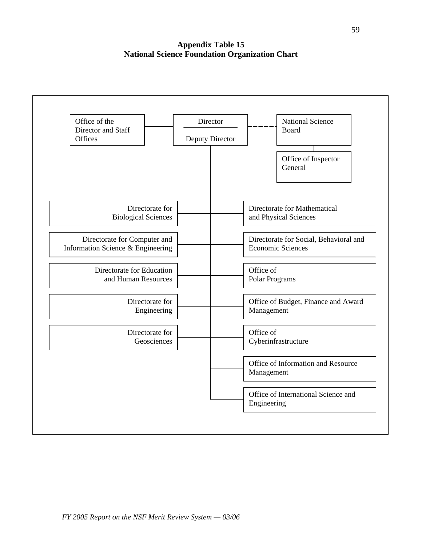**Appendix Table 15 National Science Foundation Organization Chart**